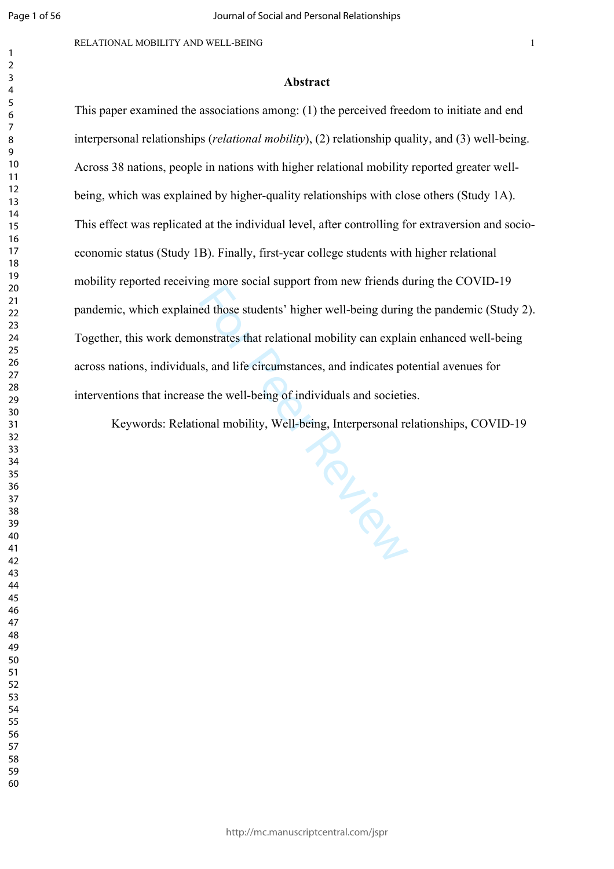$\mathbf{1}$  $\overline{2}$ 

This paper examined the associations among: (1) the perceived freedom to initiate and end interpersonal relationships (*relational mobility*), (2) relationship quality, and (3) well-being. Across 38 nations, people in nations with higher relational mobility reported greater wellbeing, which was explained by higher-quality relationships with close others (Study 1A). This effect was replicated at the individual level, after controlling for extraversion and socioeconomic status (Study 1B). Finally, first-year college students with higher relational mobility reported receiving more social support from new friends during the COVID-19 pandemic, which explained those students' higher well-being during the pandemic (Study 2). Together, this work demonstrates that relational mobility can explain enhanced well-being across nations, individuals, and life circumstances, and indicates potential avenues for interventions that increase the well-being of individuals and societies.

Keywords: Relational mobility, Well-being, Interpersonal relationships, COVID-19

Per City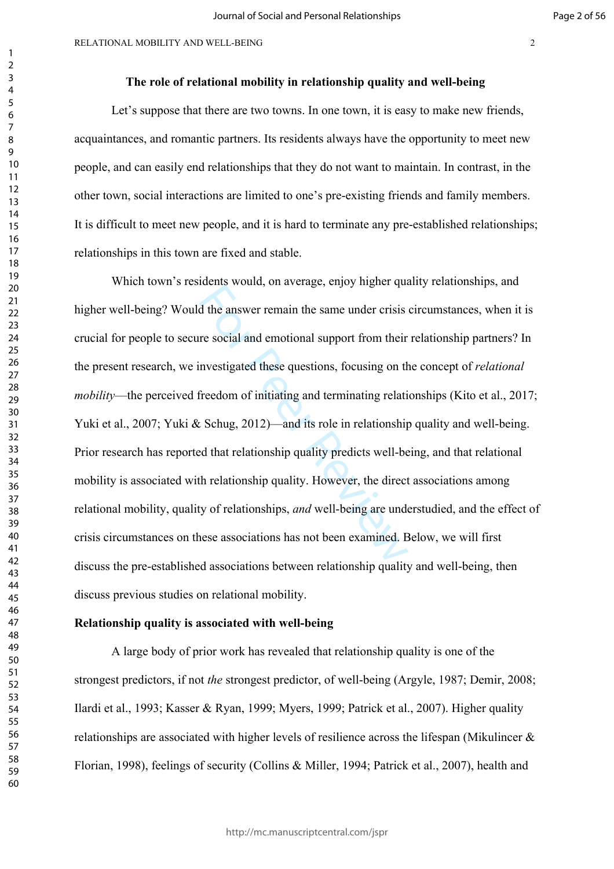# **The role of relational mobility in relationship quality and well-being**

Let's suppose that there are two towns. In one town, it is easy to make new friends, acquaintances, and romantic partners. Its residents always have the opportunity to meet new people, and can easily end relationships that they do not want to maintain. In contrast, in the other town, social interactions are limited to one's pre-existing friends and family members. It is difficult to meet new people, and it is hard to terminate any pre-established relationships; relationships in this town are fixed and stable.

d the answer remain the same under crisis<br>re social and emotional support from their<br>nvestigated these questions, focusing on th<br>freedom of initiating and terminating relation<br>shiped that relationship quality predicts well Which town's residents would, on average, enjoy higher quality relationships, and higher well-being? Would the answer remain the same under crisis circumstances, when it is crucial for people to secure social and emotional support from their relationship partners? In the present research, we investigated these questions, focusing on the concept of *relational mobility*––the perceived freedom of initiating and terminating relationships (Kito et al., 2017; Yuki et al., 2007; Yuki & Schug, 2012)—and its role in relationship quality and well-being. Prior research has reported that relationship quality predicts well-being, and that relational mobility is associated with relationship quality. However, the direct associations among relational mobility, quality of relationships, *and* well-being are understudied, and the effect of crisis circumstances on these associations has not been examined. Below, we will first discuss the pre-established associations between relationship quality and well-being, then discuss previous studies on relational mobility.

#### **Relationship quality is associated with well-being**

A large body of prior work has revealed that relationship quality is one of the strongest predictors, if not *the* strongest predictor, of well-being (Argyle, 1987; Demir, 2008; Ilardi et al., 1993; Kasser & Ryan, 1999; Myers, 1999; Patrick et al., 2007). Higher quality relationships are associated with higher levels of resilience across the lifespan (Mikulincer & Florian, 1998), feelings of security (Collins & Miller, 1994; Patrick et al., 2007), health and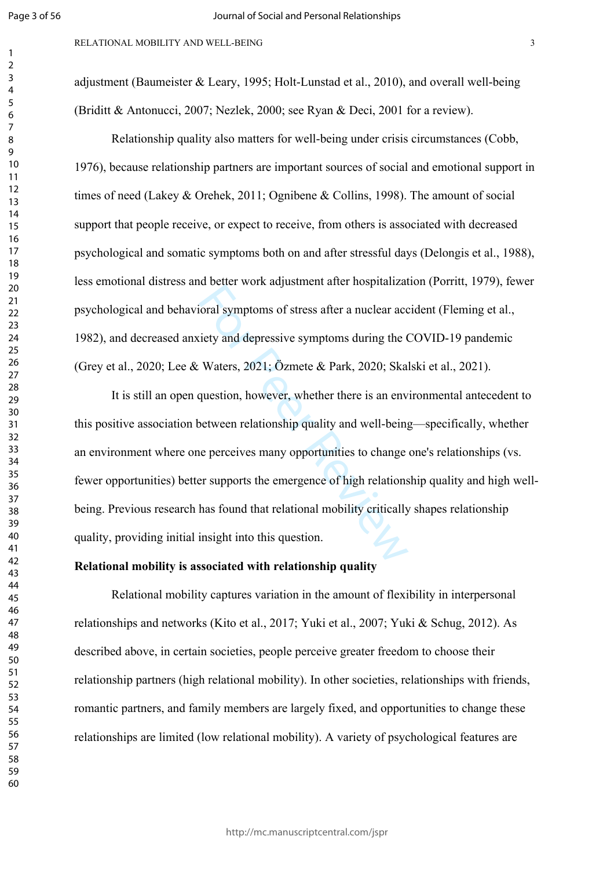$\mathbf{1}$  $\overline{2}$  $\overline{3}$  $\overline{4}$  $\overline{7}$ 

adjustment (Baumeister & Leary, 1995; Holt-Lunstad et al., 2010), and overall well-being (Briditt & Antonucci, 2007; Nezlek, 2000; see Ryan & Deci, 2001 for a review).

Relationship quality also matters for well-being under crisis circumstances (Cobb, 1976), because relationship partners are important sources of social and emotional support in times of need (Lakey & Orehek, 2011; Ognibene & Collins, 1998). The amount of social support that people receive, or expect to receive, from others is associated with decreased psychological and somatic symptoms both on and after stressful days (Delongis et al., 1988), less emotional distress and better work adjustment after hospitalization (Porritt, 1979), fewer psychological and behavioral symptoms of stress after a nuclear accident (Fleming et al., 1982), and decreased anxiety and depressive symptoms during the COVID-19 pandemic (Grey et al., 2020; Lee & Waters, 2021; Özmete & Park, 2020; Skalski et al., 2021).

For Peer Revise and depressive symptoms during the C<br>
Waters, 2021; Özmete & Park, 2020; Ska<br>
question, however, whether there is an env<br>
between relationship quality and well-being<br>
e perceives many opportunities to chang It is still an open question, however, whether there is an environmental antecedent to this positive association between relationship quality and well-being—specifically, whether an environment where one perceives many opportunities to change one's relationships (vs. fewer opportunities) better supports the emergence of high relationship quality and high wellbeing. Previous research has found that relational mobility critically shapes relationship quality, providing initial insight into this question.

# **Relational mobility is associated with relationship quality**

Relational mobility captures variation in the amount of flexibility in interpersonal relationships and networks (Kito et al., 2017; Yuki et al., 2007; Yuki & Schug, 2012). As described above, in certain societies, people perceive greater freedom to choose their relationship partners (high relational mobility). In other societies, relationships with friends, romantic partners, and family members are largely fixed, and opportunities to change these relationships are limited (low relational mobility). A variety of psychological features are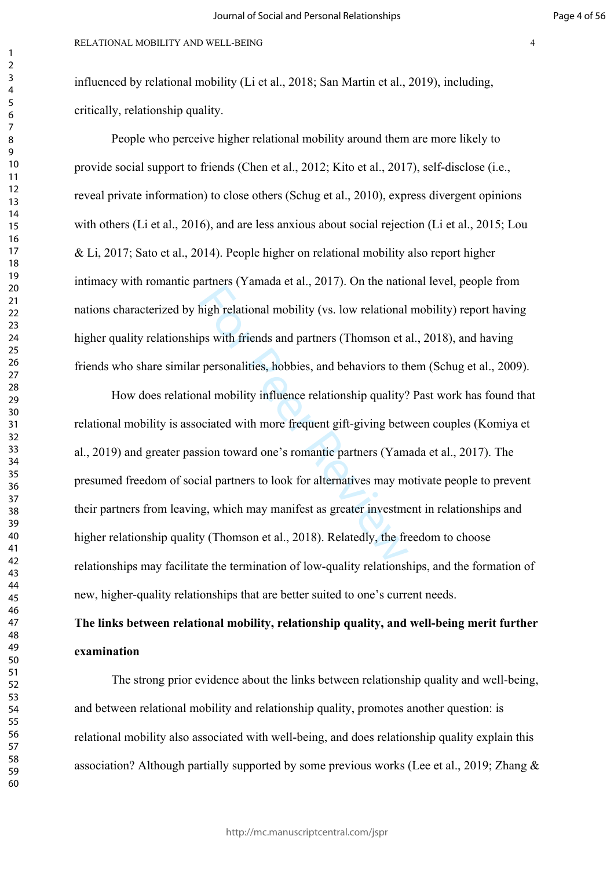People who perceive higher relational mobility around them are more likely to provide social support to friends (Chen et al., 2012; Kito et al., 2017), self-disclose (i.e., reveal private information) to close others (Schug et al., 2010), express divergent opinions with others (Li et al., 2016), and are less anxious about social rejection (Li et al., 2015; Lou & Li, 2017; Sato et al., 2014). People higher on relational mobility also report higher intimacy with romantic partners (Yamada et al., 2017). On the national level, people from nations characterized by high relational mobility (vs. low relational mobility) report having higher quality relationships with friends and partners (Thomson et al., 2018), and having friends who share similar personalities, hobbies, and behaviors to them (Schug et al., 2009).

aranche (Tannada et an, 2017). On the national<br>high relational mobility (vs. low relational<br>ps with friends and partners (Thomson et a<br>personalities, hobbies, and behaviors to th<br>nal mobility influence relationship quality How does relational mobility influence relationship quality? Past work has found that relational mobility is associated with more frequent gift-giving between couples (Komiya et al., 2019) and greater passion toward one's romantic partners (Yamada et al., 2017). The presumed freedom of social partners to look for alternatives may motivate people to prevent their partners from leaving, which may manifest as greater investment in relationships and higher relationship quality (Thomson et al., 2018). Relatedly, the freedom to choose relationships may facilitate the termination of low-quality relationships, and the formation of new, higher-quality relationships that are better suited to one's current needs.

# **The links between relational mobility, relationship quality, and well-being merit further examination**

The strong prior evidence about the links between relationship quality and well-being, and between relational mobility and relationship quality, promotes another question: is relational mobility also associated with well-being, and does relationship quality explain this association? Although partially supported by some previous works (Lee et al., 2019; Zhang &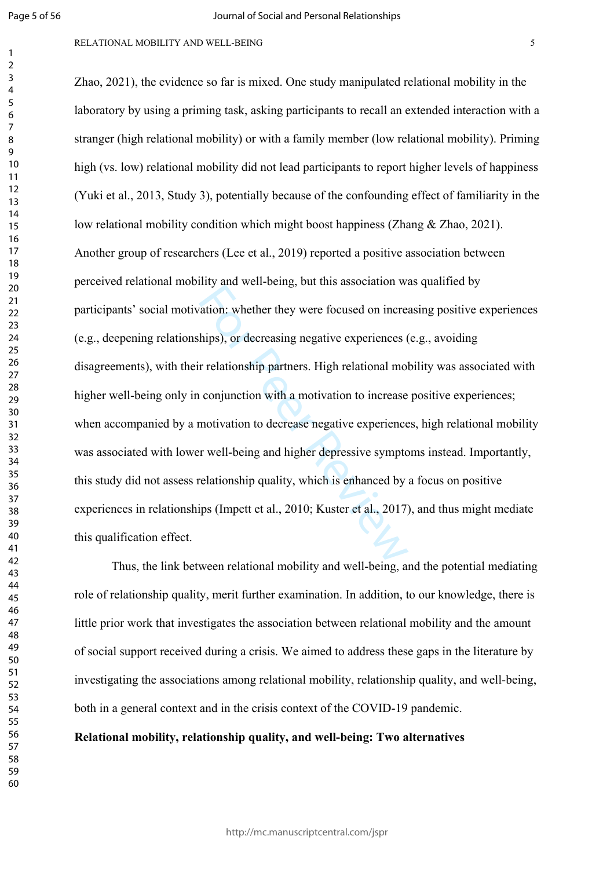$\mathbf{1}$  $\overline{2}$  $\overline{3}$ 

#### RELATIONAL MOBILITY AND WELL-BEING

the vert complement of the association where the vert focused on increasing the vert focused on increasing the relationship partners. High relational moloconjunction with a motivation to increase motivation to decrease neg Zhao, 2021), the evidence so far is mixed. One study manipulated relational mobility in the laboratory by using a priming task, asking participants to recall an extended interaction with a stranger (high relational mobility) or with a family member (low relational mobility). Priming high (vs. low) relational mobility did not lead participants to report higher levels of happiness (Yuki et al., 2013, Study 3), potentially because of the confounding effect of familiarity in the low relational mobility condition which might boost happiness (Zhang & Zhao, 2021). Another group of researchers (Lee et al., 2019) reported a positive association between perceived relational mobility and well-being, but this association was qualified by participants' social motivation: whether they were focused on increasing positive experiences (e.g., deepening relationships), or decreasing negative experiences (e.g., avoiding disagreements), with their relationship partners. High relational mobility was associated with higher well-being only in conjunction with a motivation to increase positive experiences; when accompanied by a motivation to decrease negative experiences, high relational mobility was associated with lower well-being and higher depressive symptoms instead. Importantly, this study did not assess relationship quality, which is enhanced by a focus on positive experiences in relationships (Impett et al., 2010; Kuster et al., 2017), and thus might mediate this qualification effect.

Thus, the link between relational mobility and well-being, and the potential mediating role of relationship quality, merit further examination. In addition, to our knowledge, there is little prior work that investigates the association between relational mobility and the amount of social support received during a crisis. We aimed to address these gaps in the literature by investigating the associations among relational mobility, relationship quality, and well-being, both in a general context and in the crisis context of the COVID-19 pandemic.

**Relational mobility, relationship quality, and well-being: Two alternatives**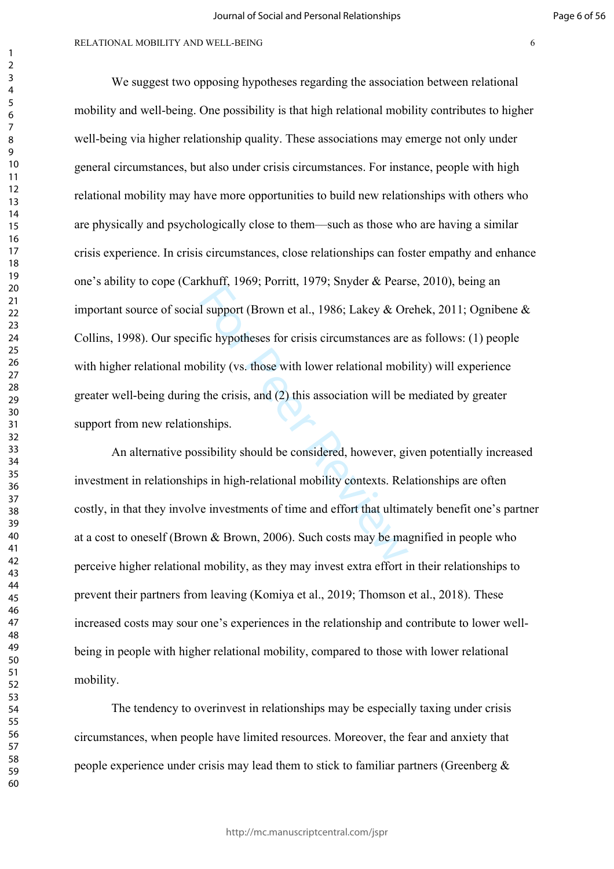#### RELATIONAL MOBILITY AND WELL-BEING 6

For Peer Reviewing, 1979, suppose the case of the support (Brown et al., 1986; Lakey & Or<br>fic hypotheses for crisis circumstances are<br>bility (vs. those with lower relational mobility the crisis, and (2) this association w We suggest two opposing hypotheses regarding the association between relational mobility and well-being. One possibility is that high relational mobility contributes to higher well-being via higher relationship quality. These associations may emerge not only under general circumstances, but also under crisis circumstances. For instance, people with high relational mobility may have more opportunities to build new relationships with others who are physically and psychologically close to them––such as those who are having a similar crisis experience. In crisis circumstances, close relationships can foster empathy and enhance one's ability to cope (Carkhuff, 1969; Porritt, 1979; Snyder & Pearse, 2010), being an important source of social support (Brown et al., 1986; Lakey & Orehek, 2011; Ognibene & Collins, 1998). Our specific hypotheses for crisis circumstances are as follows: (1) people with higher relational mobility (vs. those with lower relational mobility) will experience greater well-being during the crisis, and (2) this association will be mediated by greater support from new relationships.

An alternative possibility should be considered, however, given potentially increased investment in relationships in high-relational mobility contexts. Relationships are often costly, in that they involve investments of time and effort that ultimately benefit one's partner at a cost to oneself (Brown & Brown, 2006). Such costs may be magnified in people who perceive higher relational mobility, as they may invest extra effort in their relationships to prevent their partners from leaving (Komiya et al., 2019; Thomson et al., 2018). These increased costs may sour one's experiences in the relationship and contribute to lower wellbeing in people with higher relational mobility, compared to those with lower relational mobility.

The tendency to overinvest in relationships may be especially taxing under crisis circumstances, when people have limited resources. Moreover, the fear and anxiety that people experience under crisis may lead them to stick to familiar partners (Greenberg &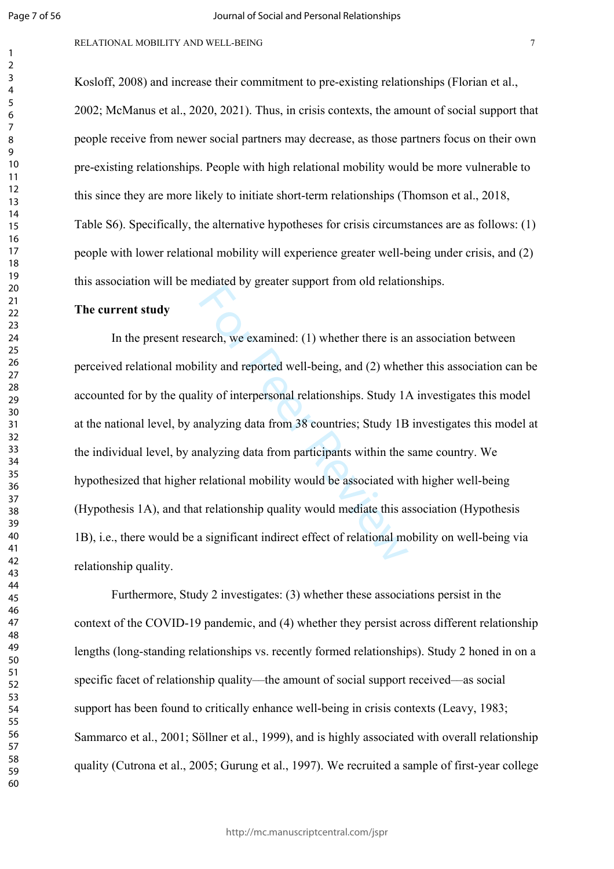$\mathbf{1}$  $\overline{2}$  $\overline{3}$  $\overline{4}$  $\overline{7}$ 

#### RELATIONAL MOBILITY AND WELL-BEING

Kosloff, 2008) and increase their commitment to pre-existing relationships (Florian et al., 2002; McManus et al., 2020, 2021). Thus, in crisis contexts, the amount of social support that people receive from newer social partners may decrease, as those partners focus on their own pre-existing relationships. People with high relational mobility would be more vulnerable to this since they are more likely to initiate short-term relationships (Thomson et al., 2018, Table S6). Specifically, the alternative hypotheses for crisis circumstances are as follows: (1) people with lower relational mobility will experience greater well-being under crisis, and (2) this association will be mediated by greater support from old relationships.

# **The current study**

earch, we examined: (1) whether there is a<br>arch, we examined: (1) whether there is a<br>ility and reported well-being, and (2) whetl<br>ity of interpersonal relationships. Study 1*A*<br>nalyzing data from 38 countries; Study 1B<br>na In the present research, we examined: (1) whether there is an association between perceived relational mobility and reported well-being, and (2) whether this association can be accounted for by the quality of interpersonal relationships. Study 1A investigates this model at the national level, by analyzing data from 38 countries; Study 1B investigates this model at the individual level, by analyzing data from participants within the same country. We hypothesized that higher relational mobility would be associated with higher well-being (Hypothesis 1A), and that relationship quality would mediate this association (Hypothesis 1B), i.e., there would be a significant indirect effect of relational mobility on well-being via relationship quality.

Furthermore, Study 2 investigates: (3) whether these associations persist in the context of the COVID-19 pandemic, and (4) whether they persist across different relationship lengths (long-standing relationships vs. recently formed relationships). Study 2 honed in on a specific facet of relationship quality—the amount of social support received—as social support has been found to critically enhance well-being in crisis contexts (Leavy, 1983; Sammarco et al., 2001; Söllner et al., 1999), and is highly associated with overall relationship quality (Cutrona et al., 2005; Gurung et al., 1997). We recruited a sample of first-year college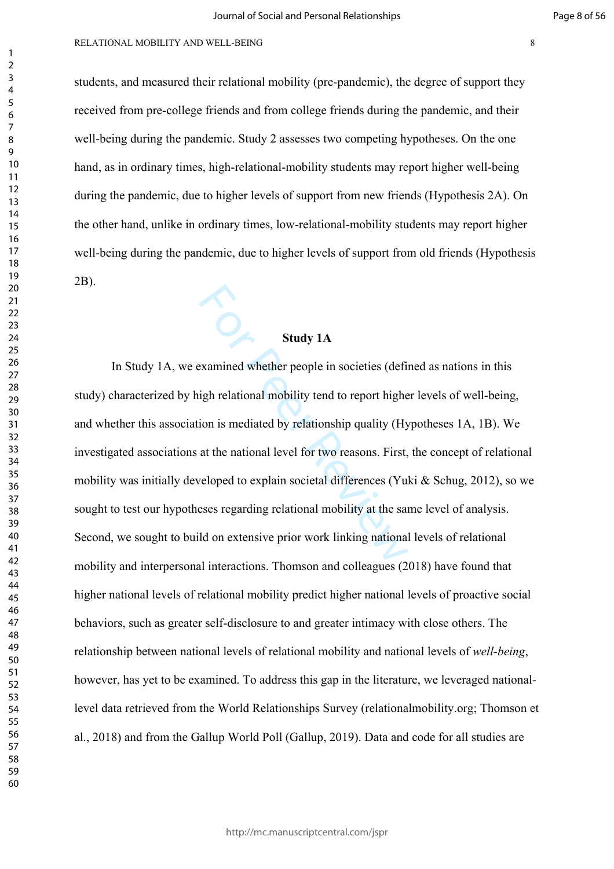students, and measured their relational mobility (pre-pandemic), the degree of support they received from pre-college friends and from college friends during the pandemic, and their well-being during the pandemic. Study 2 assesses two competing hypotheses. On the one hand, as in ordinary times, high-relational-mobility students may report higher well-being during the pandemic, due to higher levels of support from new friends (Hypothesis 2A). On the other hand, unlike in ordinary times, low-relational-mobility students may report higher well-being during the pandemic, due to higher levels of support from old friends (Hypothesis 2B).

# **Study 1A**

Study 1A<br>
Study 1A<br>
examined whether people in societies (definiting<br>
the people in societies (definition is mediated by relationship quality (Hy<br>
at the national level for two reasons. First,<br>
veloped to explain societal In Study 1A, we examined whether people in societies (defined as nations in this study) characterized by high relational mobility tend to report higher levels of well-being, and whether this association is mediated by relationship quality (Hypotheses 1A, 1B). We investigated associations at the national level for two reasons. First, the concept of relational mobility was initially developed to explain societal differences (Yuki  $\&$  Schug, 2012), so we sought to test our hypotheses regarding relational mobility at the same level of analysis. Second, we sought to build on extensive prior work linking national levels of relational mobility and interpersonal interactions. Thomson and colleagues (2018) have found that higher national levels of relational mobility predict higher national levels of proactive social behaviors, such as greater self-disclosure to and greater intimacy with close others. The relationship between national levels of relational mobility and national levels of *well-being*, however, has yet to be examined. To address this gap in the literature, we leveraged nationallevel data retrieved from the World Relationships Survey (relationalmobility.org; Thomson et al., 2018) and from the Gallup World Poll (Gallup, 2019). Data and code for all studies are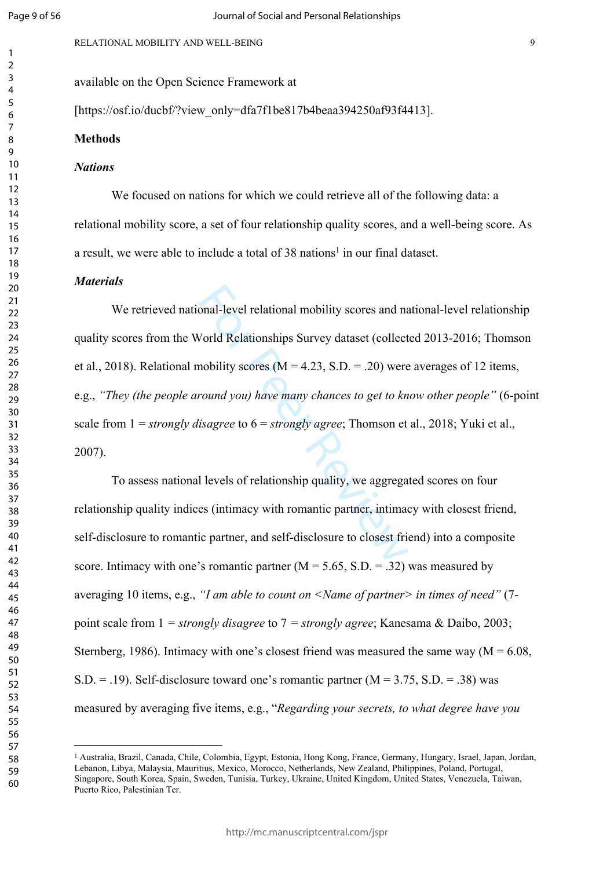$\mathbf{1}$  $\overline{2}$  $\overline{3}$  $\overline{4}$ 5 6  $\overline{7}$ 8  $\mathsf{Q}$ 

available on the Open Science Framework at

[https://osf.io/ducbf/?view\_only=dfa7f1be817b4beaa394250af93f4413].

#### **Methods**

#### *Nations*

We focused on nations for which we could retrieve all of the following data: a relational mobility score, a set of four relationship quality scores, and a well-being score. As a result, we were able to include a total of 38 nations<sup>1</sup> in our final dataset.

# *Materials*

onal-level relational mobility scores and na<br>
Vorld Relationships Survey dataset (collect<br>
nobility scores (M = 4.23, S.D. = .20) were<br>
round you) have many chances to get to kn<br>
isagree to 6 = strongly agree; Thomson et<br> We retrieved national-level relational mobility scores and national-level relationship quality scores from the World Relationships Survey dataset (collected 2013-2016; Thomson et al., 2018). Relational mobility scores ( $M = 4.23$ , S.D. = .20) were averages of 12 items, e.g., *"They (the people around you) have many chances to get to know other people"* (6-point scale from 1 = *strongly disagree* to 6 = *strongly agree*; Thomson et al., 2018; Yuki et al., 2007).

To assess national levels of relationship quality, we aggregated scores on four relationship quality indices (intimacy with romantic partner, intimacy with closest friend, self-disclosure to romantic partner, and self-disclosure to closest friend) into a composite score. Intimacy with one's romantic partner  $(M = 5.65, S.D. = .32)$  was measured by averaging 10 items, e.g., *"I am able to count on <Name of partner> in times of need"* (7 point scale from 1 *= strongly disagree* to 7 *= strongly agree*; Kanesama & Daibo, 2003; Sternberg, 1986). Intimacy with one's closest friend was measured the same way ( $M = 6.08$ , S.D.  $=$  .19). Self-disclosure toward one's romantic partner ( $M = 3.75$ , S.D.  $=$  .38) was measured by averaging five items, e.g., "*Regarding your secrets, to what degree have you* 

<sup>1</sup> Australia, Brazil, Canada, Chile, Colombia, Egypt, Estonia, Hong Kong, France, Germany, Hungary, Israel, Japan, Jordan, Lebanon, Libya, Malaysia, Mauritius, Mexico, Morocco, Netherlands, New Zealand, Philippines, Poland, Portugal, Singapore, South Korea, Spain, Sweden, Tunisia, Turkey, Ukraine, United Kingdom, United States, Venezuela, Taiwan, Puerto Rico, Palestinian Ter.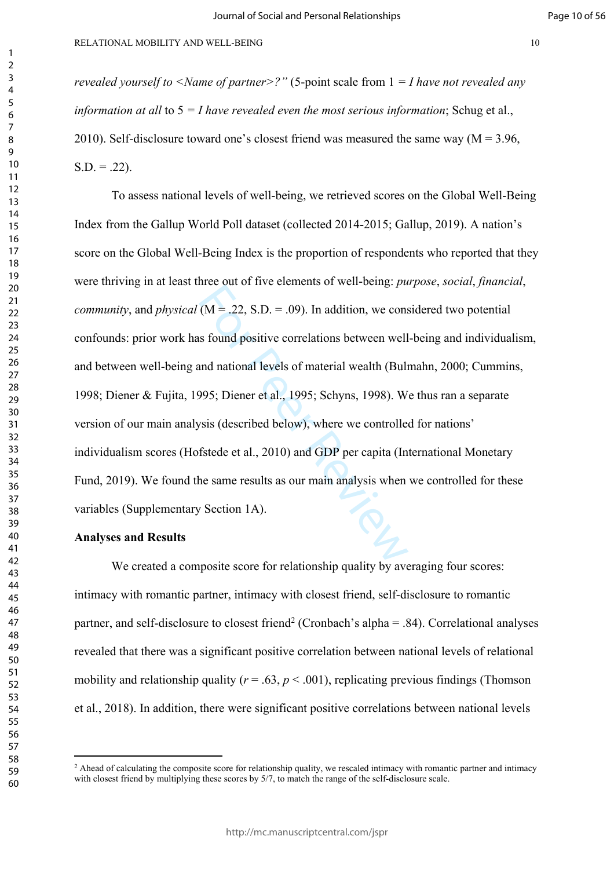*revealed yourself to <Name of partner>?"* (5-point scale from 1 *= I have not revealed any information at all* to 5 *= I have revealed even the most serious information*; Schug et al., 2010). Self-disclosure toward one's closest friend was measured the same way ( $M = 3.96$ ,  $S.D. = .22$ ).

 $(M = .22, S.D. = .09)$ . In addition, we cons<br>s found positive correlations between well<br>and national levels of material wealth (Buli<br>995; Diener et al., 1995; Schyns, 1998). W<br>vsis (described below), where we controlled<br>fstede To assess national levels of well-being, we retrieved scores on the Global Well-Being Index from the Gallup World Poll dataset (collected 2014-2015; Gallup, 2019). A nation's score on the Global Well-Being Index is the proportion of respondents who reported that they were thriving in at least three out of five elements of well-being: *purpose*, *social*, *financial*, *community*, and *physical* (M = .22, S.D. = .09). In addition, we considered two potential confounds: prior work has found positive correlations between well-being and individualism, and between well-being and national levels of material wealth (Bulmahn, 2000; Cummins, 1998; Diener & Fujita, 1995; Diener et al., 1995; Schyns, 1998). We thus ran a separate version of our main analysis (described below), where we controlled for nations' individualism scores (Hofstede et al., 2010) and GDP per capita (International Monetary Fund, 2019). We found the same results as our main analysis when we controlled for these variables (Supplementary Section 1A).

#### **Analyses and Results**

We created a composite score for relationship quality by averaging four scores: intimacy with romantic partner, intimacy with closest friend, self-disclosure to romantic partner, and self-disclosure to closest friend<sup>2</sup> (Cronbach's alpha = .84). Correlational analyses revealed that there was a significant positive correlation between national levels of relational mobility and relationship quality ( $r = .63$ ,  $p < .001$ ), replicating previous findings (Thomson et al., 2018). In addition, there were significant positive correlations between national levels

<sup>&</sup>lt;sup>2</sup> Ahead of calculating the composite score for relationship quality, we rescaled intimacy with romantic partner and intimacy with closest friend by multiplying these scores by  $5/7$ , to match the range of the self-disclosure scale.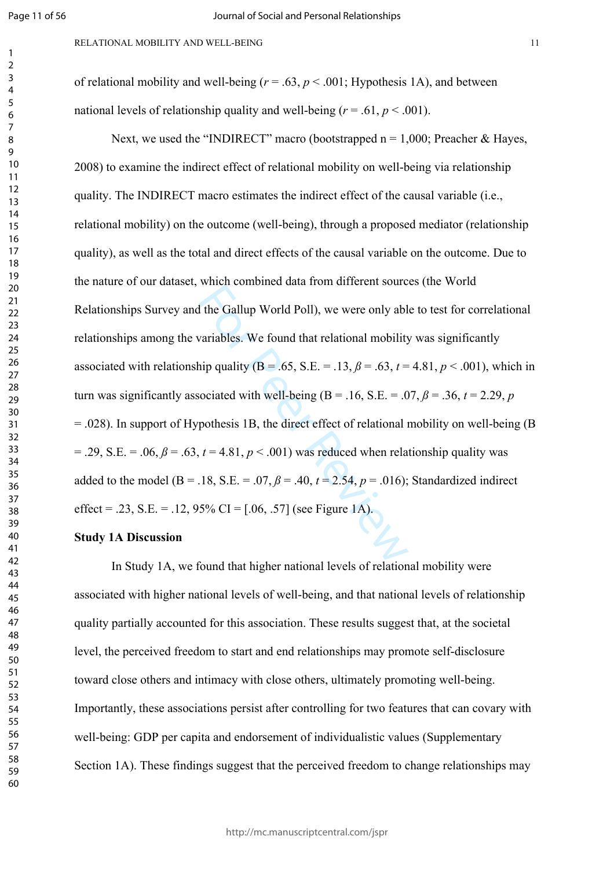$\mathbf{1}$  $\overline{2}$  $\overline{3}$  $\overline{4}$  $\overline{7}$ 

RELATIONAL MOBILITY AND WELL-BEING 11

of relational mobility and well-being  $(r = .63, p < .001;$  Hypothesis 1A), and between national levels of relationship quality and well-being  $(r = .61, p < .001)$ .

the Gallup World Poll), we were only ably variables. We found that relational mobility<br>inp quality (B = .65, S.E. = .13,  $\beta$  = .63,  $t$  = ociated with well-being (B = .16, S.E. = .0<br>pothesis 1B, the direct effect of rela Next, we used the "INDIRECT" macro (bootstrapped  $n = 1,000$ ; Preacher & Hayes, 2008) to examine the indirect effect of relational mobility on well-being via relationship quality. The INDIRECT macro estimates the indirect effect of the causal variable (i.e., relational mobility) on the outcome (well-being), through a proposed mediator (relationship quality), as well as the total and direct effects of the causal variable on the outcome. Due to the nature of our dataset, which combined data from different sources (the World Relationships Survey and the Gallup World Poll), we were only able to test for correlational relationships among the variables. We found that relational mobility was significantly associated with relationship quality ( $B = .65$ ,  $S.E. = .13$ ,  $\beta = .63$ ,  $t = 4.81$ ,  $p < .001$ ), which in turn was significantly associated with well-being ( $B = .16$ ,  $S.E. = .07$ ,  $\beta = .36$ ,  $t = 2.29$ ,  $p$ = .028). In support of Hypothesis 1B, the direct effect of relational mobility on well-being (B  $= .29$ , S.E.  $= .06$ ,  $\beta = .63$ ,  $t = 4.81$ ,  $p < .001$ ) was reduced when relationship quality was added to the model ( $B = .18$ ,  $S.E. = .07$ ,  $\beta = .40$ ,  $t = 2.54$ ,  $p = .016$ ); Standardized indirect effect = .23, S.E. = .12, 95% CI =  $[.06, .57]$  (see Figure 1A).

#### **Study 1A Discussion**

In Study 1A, we found that higher national levels of relational mobility were associated with higher national levels of well-being, and that national levels of relationship quality partially accounted for this association. These results suggest that, at the societal level, the perceived freedom to start and end relationships may promote self-disclosure toward close others and intimacy with close others, ultimately promoting well-being. Importantly, these associations persist after controlling for two features that can covary with well-being: GDP per capita and endorsement of individualistic values (Supplementary Section 1A). These findings suggest that the perceived freedom to change relationships may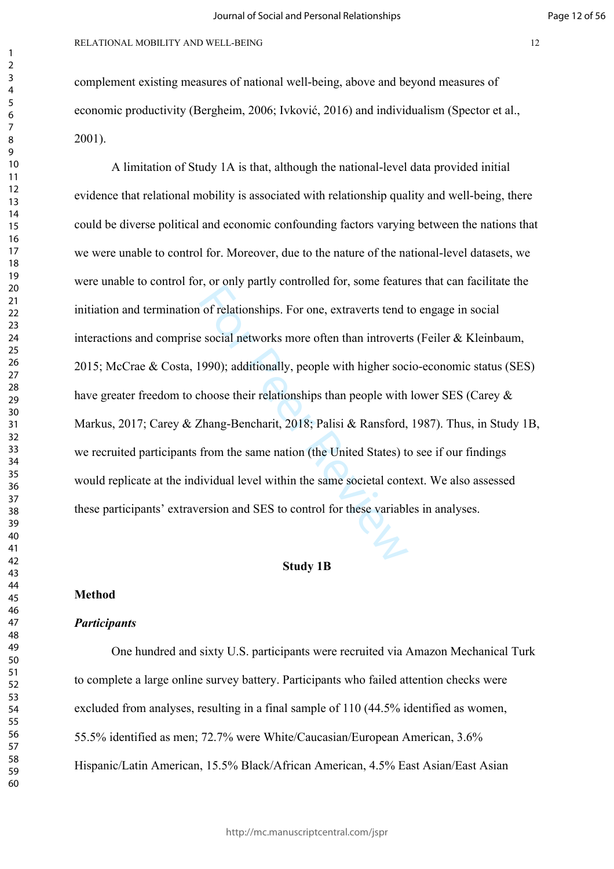complement existing measures of national well-being, above and beyond measures of economic productivity (Bergheim, 2006; Ivković, 2016) and individualism (Spector et al., 2001).

For the extraverts tend to social networks more often than introvert<br>
1990); additionally, people with higher soc<br>
1990); additionally, people with higher soc<br>
1990); additionally, people with higher soc<br>
1990); additional A limitation of Study 1A is that, although the national-level data provided initial evidence that relational mobility is associated with relationship quality and well-being, there could be diverse political and economic confounding factors varying between the nations that we were unable to control for. Moreover, due to the nature of the national-level datasets, we were unable to control for, or only partly controlled for, some features that can facilitate the initiation and termination of relationships. For one, extraverts tend to engage in social interactions and comprise social networks more often than introverts (Feiler & Kleinbaum, 2015; McCrae & Costa, 1990); additionally, people with higher socio-economic status (SES) have greater freedom to choose their relationships than people with lower SES (Carey  $\&$ Markus, 2017; Carey & Zhang-Bencharit, 2018; Palisi & Ransford, 1987). Thus, in Study 1B, we recruited participants from the same nation (the United States) to see if our findings would replicate at the individual level within the same societal context. We also assessed these participants' extraversion and SES to control for these variables in analyses.

#### **Study 1B**

#### **Method**

#### *Participants*

One hundred and sixty U.S. participants were recruited via Amazon Mechanical Turk to complete a large online survey battery. Participants who failed attention checks were excluded from analyses, resulting in a final sample of 110 (44.5% identified as women, 55.5% identified as men; 72.7% were White/Caucasian/European American, 3.6% Hispanic/Latin American, 15.5% Black/African American, 4.5% East Asian/East Asian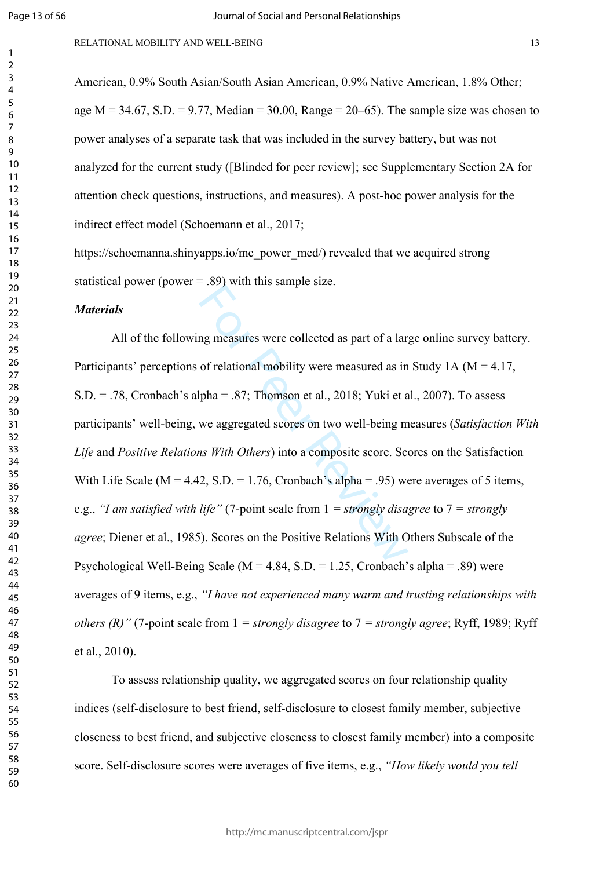$\mathbf{1}$  $\overline{2}$  $\overline{3}$  $\overline{4}$  $\overline{7}$ 

# RELATIONAL MOBILITY AND WELL-BEING 13

American, 0.9% South Asian/South Asian American, 0.9% Native American, 1.8% Other; age  $M = 34.67$ ,  $S.D. = 9.77$ , Median = 30.00, Range = 20–65). The sample size was chosen to power analyses of a separate task that was included in the survey battery, but was not analyzed for the current study ([Blinded for peer review]; see Supplementary Section 2A for attention check questions, instructions, and measures). A post-hoc power analysis for the indirect effect model (Schoemann et al., 2017;

https://schoemanna.shinyapps.io/mc\_power\_med/) revealed that we acquired strong statistical power (power  $= .89$ ) with this sample size.

# *Materials*

In this sample size.<br>
In this sample size.<br>
In the sample size.<br>
In the same of relational mobility were measured as in<br>
Ipha = .87; Thomson et al., 2018; Yuki et a<br>
we aggregated scores on two well-being m<br>
In the origin All of the following measures were collected as part of a large online survey battery. Participants' perceptions of relational mobility were measured as in Study 1A ( $M = 4.17$ , S.D. = .78, Cronbach's alpha = .87; Thomson et al., 2018; Yuki et al., 2007). To assess participants' well-being, we aggregated scores on two well-being measures (*Satisfaction With Life* and *Positive Relations With Others*) into a composite score. Scores on the Satisfaction With Life Scale ( $M = 4.42$ , S.D. = 1.76, Cronbach's alpha = .95) were averages of 5 items. e.g., *"I am satisfied with life"* (7-point scale from 1 *= strongly disagree* to 7 *= strongly agree*; Diener et al., 1985). Scores on the Positive Relations With Others Subscale of the Psychological Well-Being Scale ( $M = 4.84$ , S.D. = 1.25, Cronbach's alpha = .89) were averages of 9 items, e.g., *"I have not experienced many warm and trusting relationships with others (R)"* (7-point scale from 1 *= strongly disagree* to 7 *= strongly agree*; Ryff, 1989; Ryff et al., 2010).

To assess relationship quality, we aggregated scores on four relationship quality indices (self-disclosure to best friend, self-disclosure to closest family member, subjective closeness to best friend, and subjective closeness to closest family member) into a composite score. Self-disclosure scores were averages of five items, e.g., *"How likely would you tell*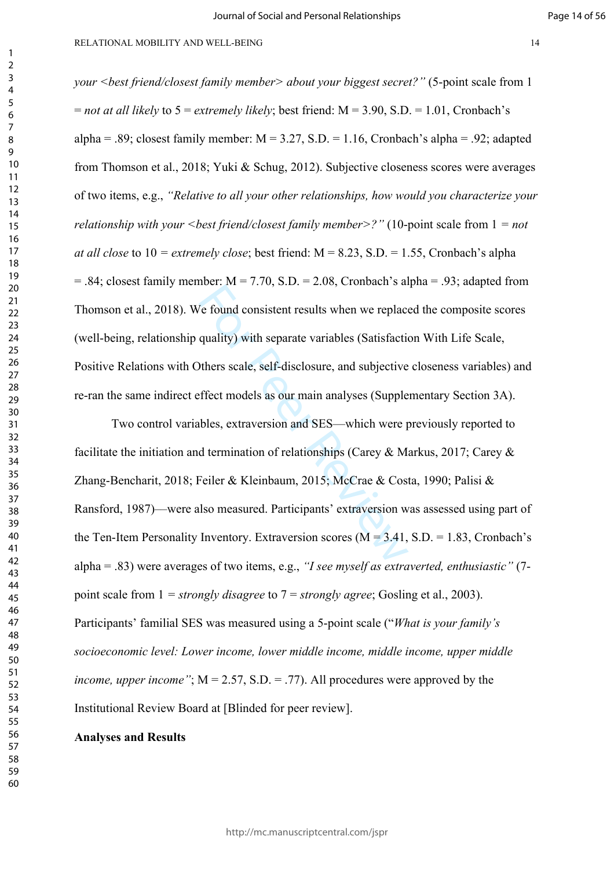#### RELATIONAL MOBILITY AND WELL-BEING 14

*your <best friend/closest family member> about your biggest secret?"* (5-point scale from 1  $=$  *not at all likely* to  $5 =$  *extremely likely*; best friend:  $M = 3.90$ , S.D.  $= 1.01$ , Cronbach's alpha = .89; closest family member:  $M = 3.27$ , S.D. = 1.16, Cronbach's alpha = .92; adapted from Thomson et al., 2018; Yuki & Schug, 2012). Subjective closeness scores were averages of two items, e.g., *"Relative to all your other relationships, how would you characterize your relationship with your <best friend/closest family member>?"* (10-point scale from 1 *= not at all close* to 10 *= extremely close*; best friend: M = 8.23, S.D. = 1.55, Cronbach's alpha  $= .84$ ; closest family member:  $M = 7.70$ , S.D.  $= 2.08$ , Cronbach's alpha  $= .93$ ; adapted from Thomson et al., 2018). We found consistent results when we replaced the composite scores (well-being, relationship quality) with separate variables (Satisfaction With Life Scale, Positive Relations with Others scale, self-disclosure, and subjective closeness variables) and re-ran the same indirect effect models as our main analyses (Supplementary Section 3A).

For AT 1999, 2009, elements and<br>
Formal consistent results when we replace<br>
quality) with separate variables (Satisfaction<br>
others scale, self-disclosure, and subjective<br>
ffect models as our main analyses (Supple<br>
bles, e Two control variables, extraversion and SES—which were previously reported to facilitate the initiation and termination of relationships (Carey & Markus, 2017; Carey & Zhang-Bencharit, 2018; Feiler & Kleinbaum, 2015; McCrae & Costa, 1990; Palisi & Ransford, 1987)––were also measured. Participants' extraversion was assessed using part of the Ten-Item Personality Inventory. Extraversion scores ( $\dot{M} = 3.41$ , S.D. = 1.83, Cronbach's alpha = .83) were averages of two items, e.g., *"I see myself as extraverted, enthusiastic"* (7 point scale from 1 *= strongly disagree* to 7 = *strongly agree*; Gosling et al., 2003). Participants' familial SES was measured using a 5-point scale ("*What is your family's socioeconomic level: Lower income, lower middle income, middle income, upper middle income, upper income*";  $M = 2.57$ ,  $S.D. = .77$ ). All procedures were approved by the Institutional Review Board at [Blinded for peer review].

#### **Analyses and Results**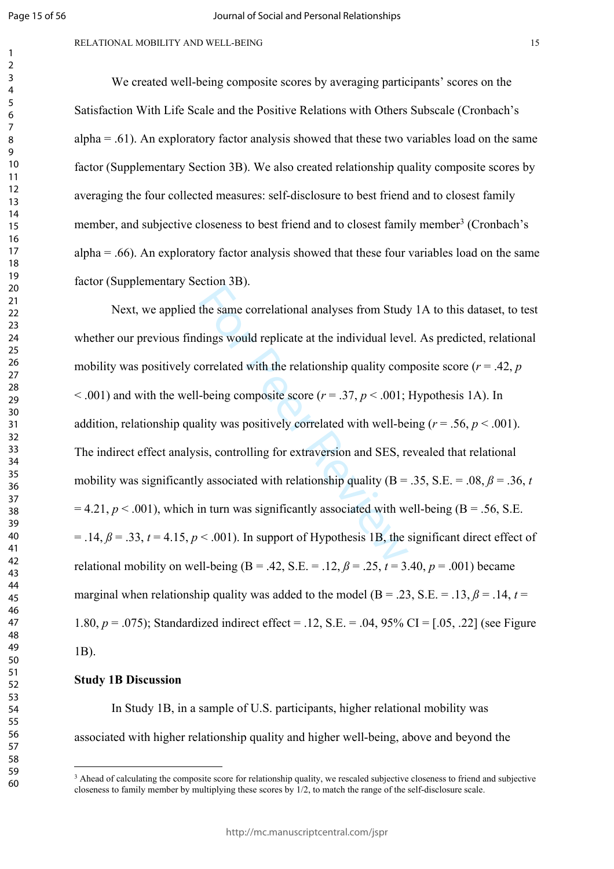$\mathbf{1}$  $\overline{2}$  $\overline{3}$  $\overline{4}$  $\overline{7}$ 

# RELATIONAL MOBILITY AND WELL-BEING 15

We created well-being composite scores by averaging participants' scores on the Satisfaction With Life Scale and the Positive Relations with Others Subscale (Cronbach's alpha  $= 0.61$ ). An exploratory factor analysis showed that these two variables load on the same factor (Supplementary Section 3B). We also created relationship quality composite scores by averaging the four collected measures: self-disclosure to best friend and to closest family member, and subjective closeness to best friend and to closest family member<sup>3</sup> (Cronbach's  $alpha = .66$ ). An exploratory factor analysis showed that these four variables load on the same factor (Supplementary Section 3B).

the same correlational analyses from Study<br>dings would replicate at the individual leve<br>orrelated with the relationship quality com-<br>being composite score  $(r = .37, p < .001)$ ;<br>lity was positively correlated with well-be<br>sis, Next, we applied the same correlational analyses from Study 1A to this dataset, to test whether our previous findings would replicate at the individual level. As predicted, relational mobility was positively correlated with the relationship quality composite score ( $r = .42$ ,  $p$ )  $<$  0.01) and with the well-being composite score ( $r = 0.37$ ,  $p < 0.01$ ; Hypothesis 1A). In addition, relationship quality was positively correlated with well-being  $(r = .56, p < .001)$ . The indirect effect analysis, controlling for extraversion and SES, revealed that relational mobility was significantly associated with relationship quality ( $B = .35$ ,  $S.E. = .08$ ,  $\beta = .36$ , *t*  $= 4.21, p < .001$ ), which in turn was significantly associated with well-being (B = .56, S.E.  $=$  .14,  $\beta$  = .33,  $t$  = 4.15,  $p$  < .001). In support of Hypothesis 1B, the significant direct effect of relational mobility on well-being ( $B = .42$ ,  $S.E. = .12$ ,  $\beta = .25$ ,  $t = 3.40$ ,  $p = .001$ ) became marginal when relationship quality was added to the model ( $B = .23$ , S.E. = .13,  $\beta = .14$ ,  $t =$ 1.80, *p* = .075); Standardized indirect effect = .12, S.E. = .04, 95% CI = [.05, .22] (see Figure 1B).

# **Study 1B Discussion**

In Study 1B, in a sample of U.S. participants, higher relational mobility was associated with higher relationship quality and higher well-being, above and beyond the<br>3 Ahead of calculating the composite score for relationship quality, we rescaled subjective closeness to friend and subjective

closeness to family member by multiplying these scores by 1/2, to match the range of the self-disclosure scale.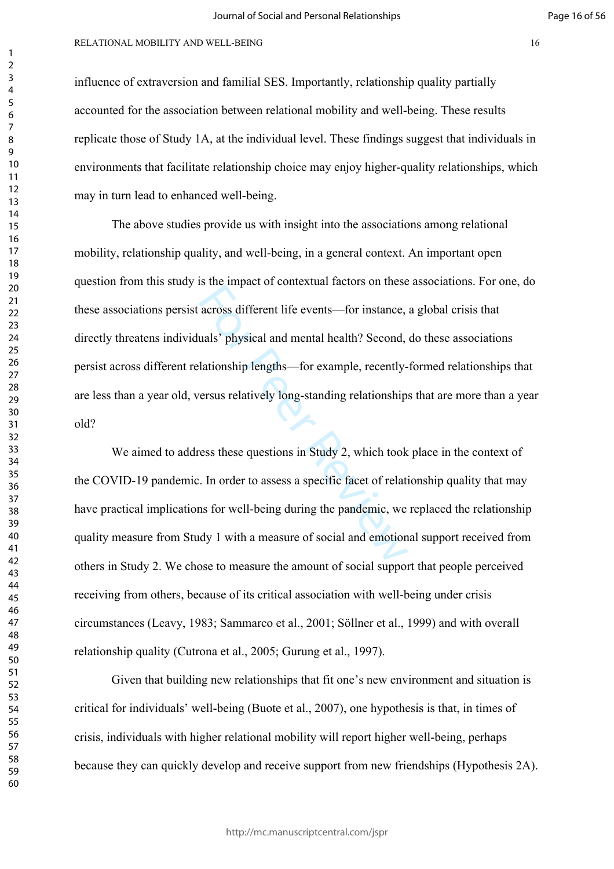#### RELATIONAL MOBILITY AND WELL-BEING 16

influence of extraversion and familial SES. Importantly, relationship quality partially accounted for the association between relational mobility and well-being. These results replicate those of Study 1A, at the individual level. These findings suggest that individuals in environments that facilitate relationship choice may enjoy higher-quality relationships, which may in turn lead to enhanced well-being.

For the different life events—for instance,<br>across different life events—for instance,<br>attionship lengths—for example, recently-<br>ersus relatively long-standing relationship.<br>resus relatively long-standing relationship.<br>res The above studies provide us with insight into the associations among relational mobility, relationship quality, and well-being, in a general context. An important open question from this study is the impact of contextual factors on these associations. For one, do these associations persist across different life events––for instance, a global crisis that directly threatens individuals' physical and mental health? Second, do these associations persist across different relationship lengths––for example, recently-formed relationships that are less than a year old, versus relatively long-standing relationships that are more than a year old?

We aimed to address these questions in Study 2, which took place in the context of the COVID-19 pandemic. In order to assess a specific facet of relationship quality that may have practical implications for well-being during the pandemic, we replaced the relationship quality measure from Study 1 with a measure of social and emotional support received from others in Study 2. We chose to measure the amount of social support that people perceived receiving from others, because of its critical association with well-being under crisis circumstances (Leavy, 1983; Sammarco et al., 2001; Söllner et al., 1999) and with overall relationship quality (Cutrona et al., 2005; Gurung et al., 1997).

Given that building new relationships that fit one's new environment and situation is critical for individuals' well-being (Buote et al., 2007), one hypothesis is that, in times of crisis, individuals with higher relational mobility will report higher well-being, perhaps because they can quickly develop and receive support from new friendships (Hypothesis 2A).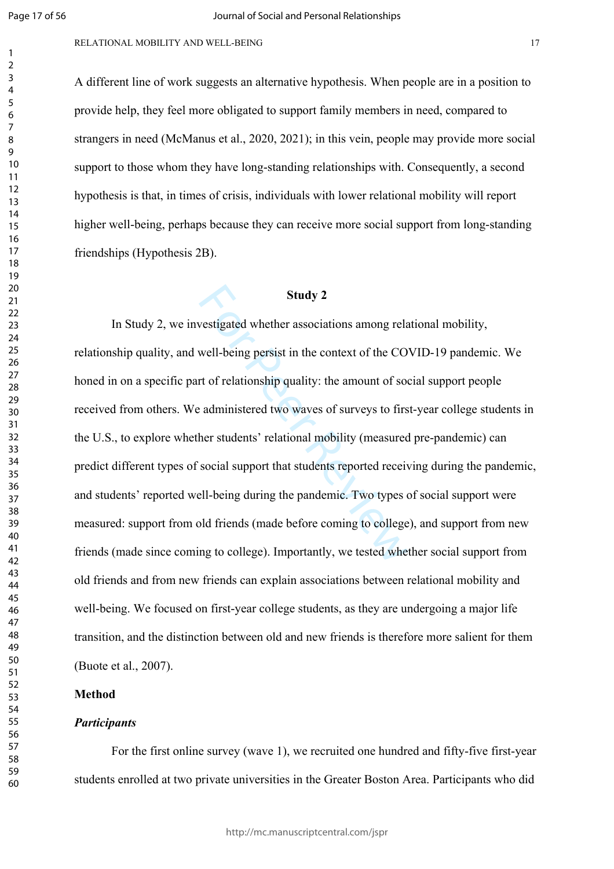$\mathbf{1}$  $\overline{2}$  $\overline{3}$  $\overline{4}$  $\overline{7}$ 

#### RELATIONAL MOBILITY AND WELL-BEING 17

A different line of work suggests an alternative hypothesis. When people are in a position to provide help, they feel more obligated to support family members in need, compared to strangers in need (McManus et al., 2020, 2021); in this vein, people may provide more social support to those whom they have long-standing relationships with. Consequently, a second hypothesis is that, in times of crisis, individuals with lower relational mobility will report higher well-being, perhaps because they can receive more social support from long-standing friendships (Hypothesis 2B).

# **Study 2**

**Study 2**<br>vestigated whether associations among relational well-being persist in the context of the CO<br>rt of relationship quality: the amount of social administered two waves of surveys to firs<br>her students' relational mob In Study 2, we investigated whether associations among relational mobility, relationship quality, and well-being persist in the context of the COVID-19 pandemic. We honed in on a specific part of relationship quality: the amount of social support people received from others. We administered two waves of surveys to first-year college students in the U.S., to explore whether students' relational mobility (measured pre-pandemic) can predict different types of social support that students reported receiving during the pandemic, and students' reported well-being during the pandemic. Two types of social support were measured: support from old friends (made before coming to college), and support from new friends (made since coming to college). Importantly, we tested whether social support from old friends and from new friends can explain associations between relational mobility and well-being. We focused on first-year college students, as they are undergoing a major life transition, and the distinction between old and new friends is therefore more salient for them (Buote et al., 2007).

# **Method**

#### *Participants*

For the first online survey (wave 1), we recruited one hundred and fifty-five first-year students enrolled at two private universities in the Greater Boston Area. Participants who did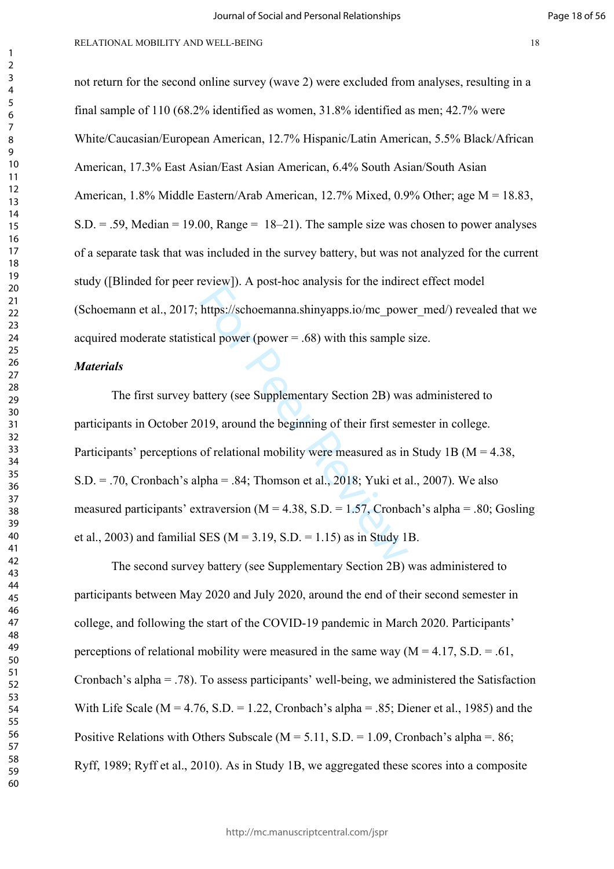not return for the second online survey (wave 2) were excluded from analyses, resulting in a final sample of 110 (68.2% identified as women, 31.8% identified as men; 42.7% were White/Caucasian/European American, 12.7% Hispanic/Latin American, 5.5% Black/African American, 17.3% East Asian/East Asian American, 6.4% South Asian/South Asian American, 1.8% Middle Eastern/Arab American, 12.7% Mixed, 0.9% Other; age M = 18.83,  $S.D. = .59$ , Median = 19.00, Range = 18–21). The sample size was chosen to power analyses of a separate task that was included in the survey battery, but was not analyzed for the current study ([Blinded for peer review]). A post-hoc analysis for the indirect effect model (Schoemann et al., 2017; https://schoemanna.shinyapps.io/mc\_power\_med/) revealed that we acquired moderate statistical power (power = .68) with this sample size.

# *Materials*

https://schoemanna.shinyapps.io/mc\_powideal power (power = .68) with this sample<br>https://schoemanna.shinyapps.io/mc\_powideal power (power = .68) with this sample<br>attery (see Supplementary Section 2B) was<br>019, around the b The first survey battery (see Supplementary Section 2B) was administered to participants in October 2019, around the beginning of their first semester in college. Participants' perceptions of relational mobility were measured as in Study 1B (M = 4.38,  $S.D. = .70$ . Cronbach's alpha = .84; Thomson et al., 2018; Yuki et al., 2007). We also measured participants' extraversion ( $M = 4.38$ , S.D. = 1.57, Cronbach's alpha = .80; Gosling et al., 2003) and familial SES ( $M = 3.19$ , S.D. = 1.15) as in Study 1B.

The second survey battery (see Supplementary Section 2B) was administered to participants between May 2020 and July 2020, around the end of their second semester in college, and following the start of the COVID-19 pandemic in March 2020. Participants' perceptions of relational mobility were measured in the same way  $(M = 4.17, S.D. = .61,$ Cronbach's alpha = .78). To assess participants' well-being, we administered the Satisfaction With Life Scale ( $M = 4.76$ , S.D. = 1.22, Cronbach's alpha = .85; Diener et al., 1985) and the Positive Relations with Others Subscale ( $M = 5.11$ , S.D. = 1.09, Cronbach's alpha =. 86; Ryff, 1989; Ryff et al., 2010). As in Study 1B, we aggregated these scores into a composite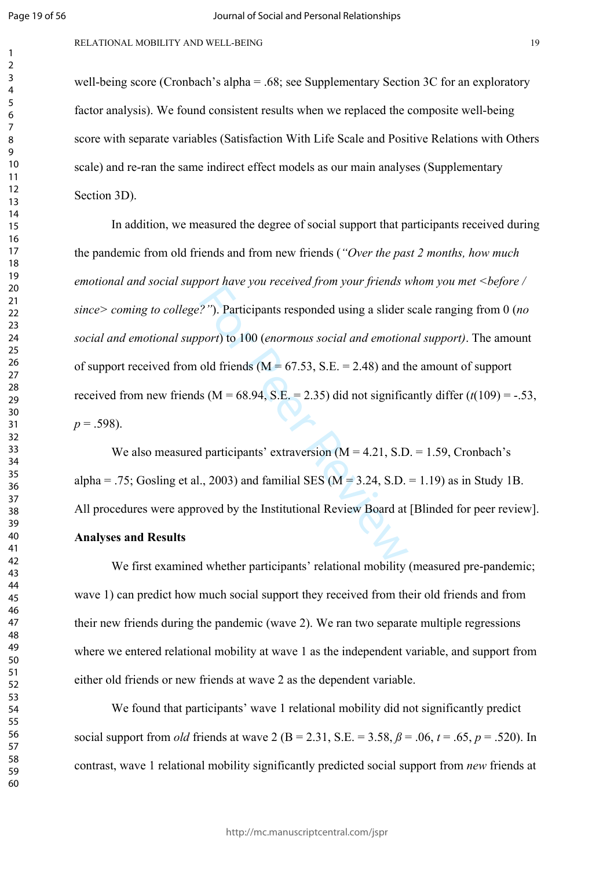$\mathbf{1}$  $\overline{2}$  $\overline{3}$  $\overline{4}$  $\overline{7}$ 

well-being score (Cronbach's alpha = .68; see Supplementary Section 3C for an exploratory factor analysis). We found consistent results when we replaced the composite well-being score with separate variables (Satisfaction With Life Scale and Positive Relations with Others scale) and re-ran the same indirect effect models as our main analyses (Supplementary Section 3D).

2"). Participants responded using a slider sport) to 100 (*enormous social and emotion*<br>old friends (M = 67.53, S.E. = 2.48) and the s (M = 68.94, S.E. = 2.35) did not significal<br>d participants' extraversion (M = 4.21, S. In addition, we measured the degree of social support that participants received during the pandemic from old friends and from new friends (*"Over the past 2 months, how much emotional and social support have you received from your friends whom you met <before / since> coming to college?"*). Participants responded using a slider scale ranging from 0 (*no social and emotional support*) to 100 (*enormous social and emotional support)*. The amount of support received from old friends  $(M = 67.53, S.E. = 2.48)$  and the amount of support received from new friends ( $M = 68.94$ , S.E. = 2.35) did not significantly differ  $(t(109) = -.53$ ,  $p = .598$ ).

We also measured participants' extraversion  $(M = 4.21, S.D. = 1.59, Cronbach's$ alpha = .75; Gosling et al., 2003) and familial SES ( $M = 3.24$ , S.D. = 1.19) as in Study 1B. All procedures were approved by the Institutional Review Board at [Blinded for peer review].

# **Analyses and Results**

We first examined whether participants' relational mobility (measured pre-pandemic; wave 1) can predict how much social support they received from their old friends and from their new friends during the pandemic (wave 2). We ran two separate multiple regressions where we entered relational mobility at wave 1 as the independent variable, and support from either old friends or new friends at wave 2 as the dependent variable.

We found that participants' wave 1 relational mobility did not significantly predict social support from *old* friends at wave 2 (B = 2.31, S.E. = 3.58,  $\beta$  = .06,  $t$  = .65,  $p$  = .520). In contrast, wave 1 relational mobility significantly predicted social support from *new* friends at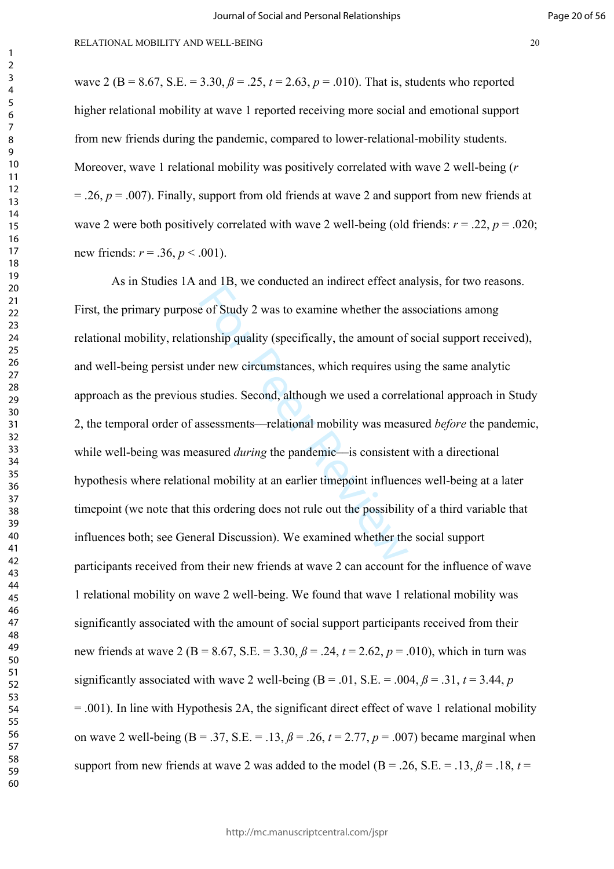new friends:  $r = .36$ ,  $p < .001$ ).

wave 2 (B = 8.67, S.E. = 3.30,  $\beta$  = .25,  $t = 2.63$ ,  $p = .010$ ). That is, students who reported higher relational mobility at wave 1 reported receiving more social and emotional support from new friends during the pandemic, compared to lower-relational-mobility students. Moreover, wave 1 relational mobility was positively correlated with wave 2 well-being (*r*  $= 0.26$ ,  $p = 0.007$ ). Finally, support from old friends at wave 2 and support from new friends at wave 2 were both positively correlated with wave 2 well-being (old friends:  $r = .22$ ,  $p = .020$ ;

and 12, we conducted an intribute three and<br>e of Study 2 was to examine whether the as<br>onship quality (specifically, the amount of<br>der new circumstances, which requires usi<br>studies. Second, although we used a correl<br>ssessm As in Studies 1A and 1B, we conducted an indirect effect analysis, for two reasons. First, the primary purpose of Study 2 was to examine whether the associations among relational mobility, relationship quality (specifically, the amount of social support received), and well-being persist under new circumstances, which requires using the same analytic approach as the previous studies. Second, although we used a correlational approach in Study 2, the temporal order of assessments––relational mobility was measured *before* the pandemic, while well-being was measured *during* the pandemic—is consistent with a directional hypothesis where relational mobility at an earlier timepoint influences well-being at a later timepoint (we note that this ordering does not rule out the possibility of a third variable that influences both; see General Discussion). We examined whether the social support participants received from their new friends at wave 2 can account for the influence of wave 1 relational mobility on wave 2 well-being. We found that wave 1 relational mobility was significantly associated with the amount of social support participants received from their new friends at wave 2 (B = 8.67, S.E. = 3.30, *ß* = .24, *t* = 2.62, *p* = .010), which in turn was significantly associated with wave 2 well-being  $(B = .01, S.E. = .004, \beta = .31, t = 3.44, p$ = .001). In line with Hypothesis 2A, the significant direct effect of wave 1 relational mobility on wave 2 well-being ( $B = .37$ ,  $S.E. = .13$ ,  $\beta = .26$ ,  $t = 2.77$ ,  $p = .007$ ) became marginal when support from new friends at wave 2 was added to the model ( $B = .26$ ,  $S.E. = .13$ ,  $\beta = .18$ ,  $t =$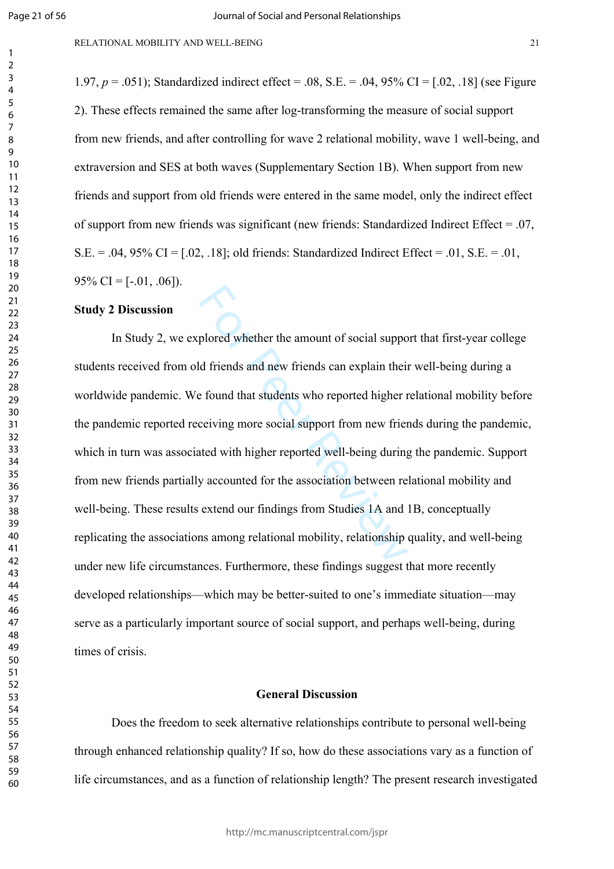$\mathbf{1}$  $\overline{2}$  $\overline{3}$  $\overline{4}$  $\overline{7}$ 

1.97, *p* = .051); Standardized indirect effect = .08, S.E. = .04, 95% CI = [.02, .18] (see Figure 2). These effects remained the same after log-transforming the measure of social support from new friends, and after controlling for wave 2 relational mobility, wave 1 well-being, and extraversion and SES at both waves (Supplementary Section 1B). When support from new friends and support from old friends were entered in the same model, only the indirect effect of support from new friends was significant (new friends: Standardized Indirect Effect = .07,  $S.E. = .04, 95\% \text{ CI} = [.02, .18]$ ; old friends: Standardized Indirect Effect = .01,  $S.E. = .01$ ,  $95\%$  CI = [-.01, .06]).

# **Study 2 Discussion**

plored whether the amount of social support<br>of friends and new friends can explain their<br>explored higher r<br>ceiving more social support from new friend<br>ted with higher reported well-being during<br>y accounted for the associat In Study 2, we explored whether the amount of social support that first-year college students received from old friends and new friends can explain their well-being during a worldwide pandemic. We found that students who reported higher relational mobility before the pandemic reported receiving more social support from new friends during the pandemic, which in turn was associated with higher reported well-being during the pandemic. Support from new friends partially accounted for the association between relational mobility and well-being. These results extend our findings from Studies 1A and 1B, conceptually replicating the associations among relational mobility, relationship quality, and well-being under new life circumstances. Furthermore, these findings suggest that more recently developed relationships––which may be better-suited to one's immediate situation––may serve as a particularly important source of social support, and perhaps well-being, during times of crisis.

# **General Discussion**

Does the freedom to seek alternative relationships contribute to personal well-being through enhanced relationship quality? If so, how do these associations vary as a function of life circumstances, and as a function of relationship length? The present research investigated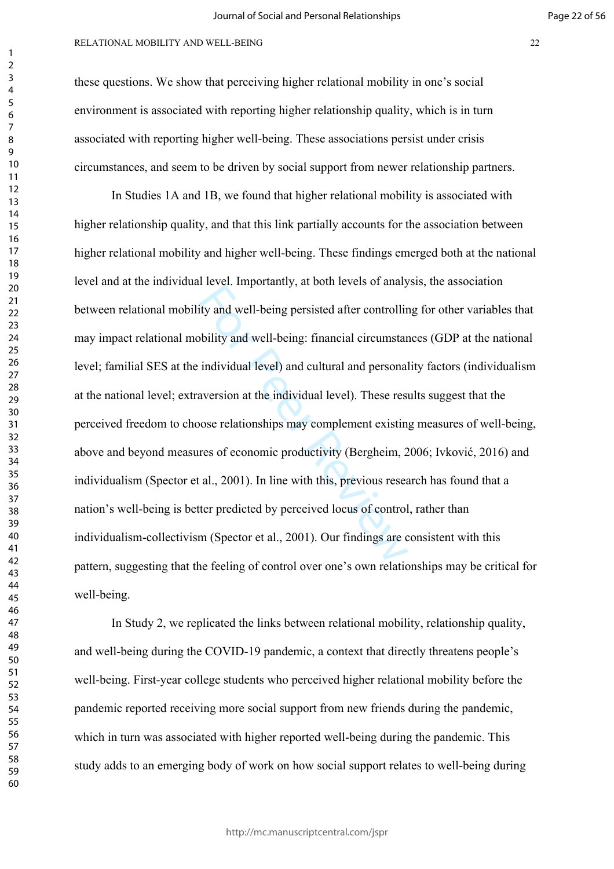#### RELATIONAL MOBILITY AND WELL-BEING 22

these questions. We show that perceiving higher relational mobility in one's social environment is associated with reporting higher relationship quality, which is in turn associated with reporting higher well-being. These associations persist under crisis circumstances, and seem to be driven by social support from newer relationship partners.

For Persian Information, and solar Revision Entails<br>ity and well-being persisted after controllin<br>bility and well-being: financial circumstar<br>individual level) and cultural and personal<br>aversion at the individual level). T In Studies 1A and 1B, we found that higher relational mobility is associated with higher relationship quality, and that this link partially accounts for the association between higher relational mobility and higher well-being. These findings emerged both at the national level and at the individual level. Importantly, at both levels of analysis, the association between relational mobility and well-being persisted after controlling for other variables that may impact relational mobility and well-being: financial circumstances (GDP at the national level; familial SES at the individual level) and cultural and personality factors (individualism at the national level; extraversion at the individual level). These results suggest that the perceived freedom to choose relationships may complement existing measures of well-being, above and beyond measures of economic productivity (Bergheim, 2006; Ivković, 2016) and individualism (Spector et al., 2001). In line with this, previous research has found that a nation's well-being is better predicted by perceived locus of control, rather than individualism-collectivism (Spector et al., 2001). Our findings are consistent with this pattern, suggesting that the feeling of control over one's own relationships may be critical for well-being.

In Study 2, we replicated the links between relational mobility, relationship quality, and well-being during the COVID-19 pandemic, a context that directly threatens people's well-being. First-year college students who perceived higher relational mobility before the pandemic reported receiving more social support from new friends during the pandemic, which in turn was associated with higher reported well-being during the pandemic. This study adds to an emerging body of work on how social support relates to well-being during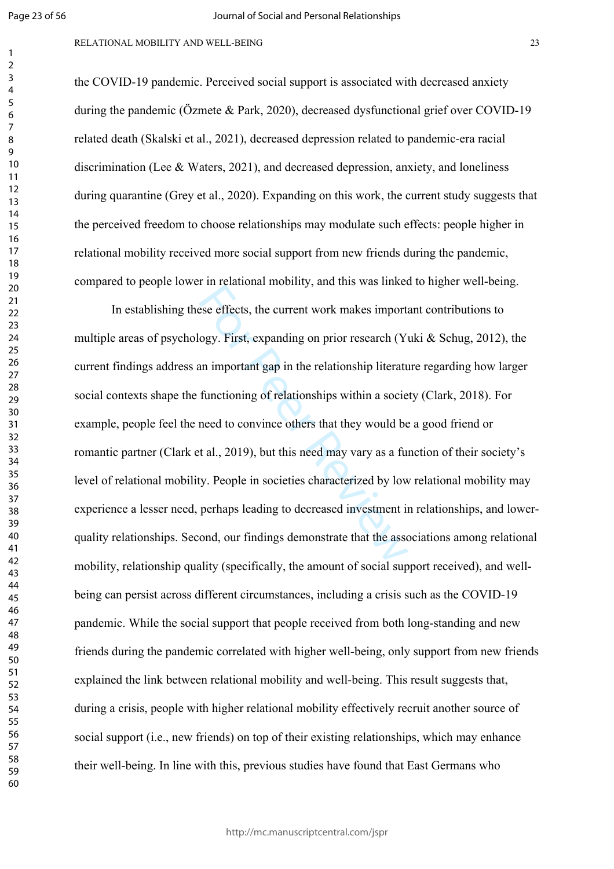$\mathbf{1}$  $\overline{2}$  $\overline{3}$  $\overline{4}$  $\overline{7}$ 

#### RELATIONAL MOBILITY AND WELL-BEING 23

the COVID-19 pandemic. Perceived social support is associated with decreased anxiety during the pandemic (Özmete & Park, 2020), decreased dysfunctional grief over COVID-19 related death (Skalski et al., 2021), decreased depression related to pandemic-era racial discrimination (Lee & Waters, 2021), and decreased depression, anxiety, and loneliness during quarantine (Grey et al., 2020). Expanding on this work, the current study suggests that the perceived freedom to choose relationships may modulate such effects: people higher in relational mobility received more social support from new friends during the pandemic, compared to people lower in relational mobility, and this was linked to higher well-being.

For Persistent Hosting, and ans was inneed<br>the esse effects, the current work makes importated<br>ogy. First, expanding on prior research (Y)<br>an important gap in the relationship literature<br>functioning of relationships within In establishing these effects, the current work makes important contributions to multiple areas of psychology. First, expanding on prior research (Yuki & Schug, 2012), the current findings address an important gap in the relationship literature regarding how larger social contexts shape the functioning of relationships within a society (Clark, 2018). For example, people feel the need to convince others that they would be a good friend or romantic partner (Clark et al., 2019), but this need may vary as a function of their society's level of relational mobility. People in societies characterized by low relational mobility may experience a lesser need, perhaps leading to decreased investment in relationships, and lowerquality relationships. Second, our findings demonstrate that the associations among relational mobility, relationship quality (specifically, the amount of social support received), and wellbeing can persist across different circumstances, including a crisis such as the COVID-19 pandemic. While the social support that people received from both long-standing and new friends during the pandemic correlated with higher well-being, only support from new friends explained the link between relational mobility and well-being. This result suggests that, during a crisis, people with higher relational mobility effectively recruit another source of social support (i.e., new friends) on top of their existing relationships, which may enhance their well-being. In line with this, previous studies have found that East Germans who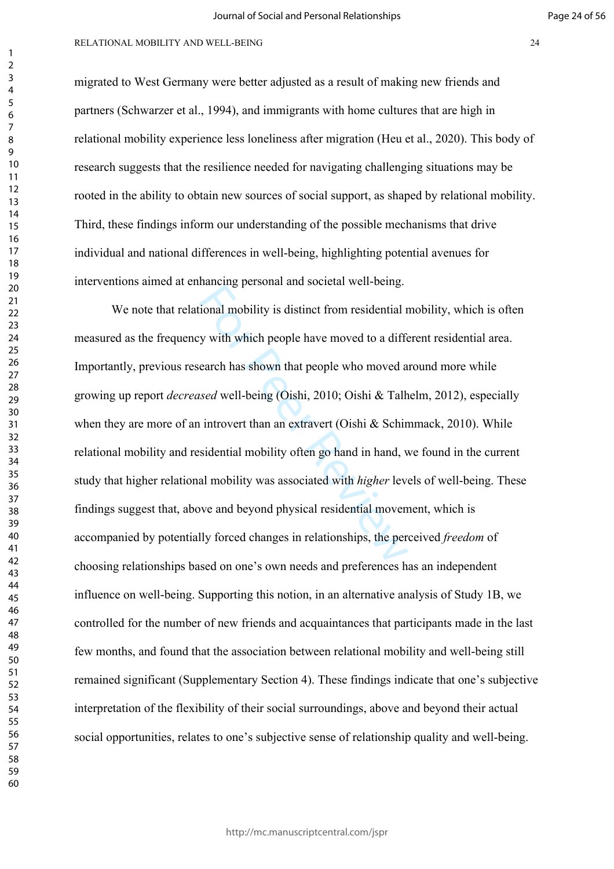#### RELATIONAL MOBILITY AND WELL-BEING 24

migrated to West Germany were better adjusted as a result of making new friends and partners (Schwarzer et al., 1994), and immigrants with home cultures that are high in relational mobility experience less loneliness after migration (Heu et al., 2020). This body of research suggests that the resilience needed for navigating challenging situations may be rooted in the ability to obtain new sources of social support, as shaped by relational mobility. Third, these findings inform our understanding of the possible mechanisms that drive individual and national differences in well-being, highlighting potential avenues for interventions aimed at enhancing personal and societal well-being.

mandapproximation section. We have moved to a difference that which people have moved to a difference and which people who moved a star which has shown that people who moved a star which is dead well-being (Oishi, 2010; Oi We note that relational mobility is distinct from residential mobility, which is often measured as the frequency with which people have moved to a different residential area. Importantly, previous research has shown that people who moved around more while growing up report *decreased* well-being (Oishi, 2010; Oishi & Talhelm, 2012), especially when they are more of an introvert than an extravert (Oishi & Schimmack, 2010). While relational mobility and residential mobility often go hand in hand, we found in the current study that higher relational mobility was associated with *higher* levels of well-being. These findings suggest that, above and beyond physical residential movement, which is accompanied by potentially forced changes in relationships, the perceived *freedom* of choosing relationships based on one's own needs and preferences has an independent influence on well-being. Supporting this notion, in an alternative analysis of Study 1B, we controlled for the number of new friends and acquaintances that participants made in the last few months, and found that the association between relational mobility and well-being still remained significant (Supplementary Section 4). These findings indicate that one's subjective interpretation of the flexibility of their social surroundings, above and beyond their actual social opportunities, relates to one's subjective sense of relationship quality and well-being.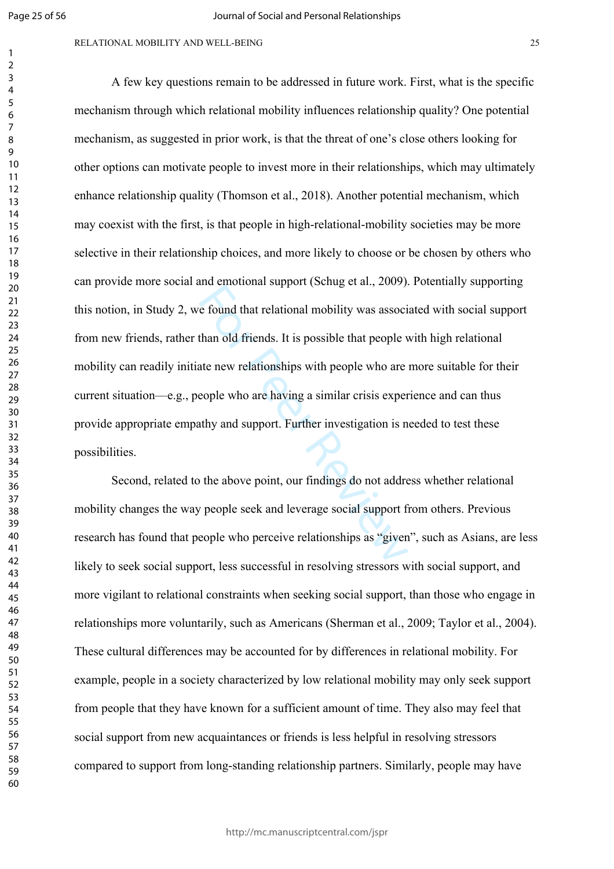$\mathbf{1}$  $\overline{2}$  $\overline{4}$  $\overline{7}$ 

#### RELATIONAL MOBILITY AND WELL-BEING 25

the choman support (some et al., 2000).<br>
For Pound that relational mobility was associted than old friends. It is possible that people v<br>
ate new relationships with people who are<br>
eople who are having a similar crisis exp A few key questions remain to be addressed in future work. First, what is the specific mechanism through which relational mobility influences relationship quality? One potential mechanism, as suggested in prior work, is that the threat of one's close others looking for other options can motivate people to invest more in their relationships, which may ultimately enhance relationship quality (Thomson et al., 2018). Another potential mechanism, which may coexist with the first, is that people in high-relational-mobility societies may be more selective in their relationship choices, and more likely to choose or be chosen by others who can provide more social and emotional support (Schug et al., 2009). Potentially supporting this notion, in Study 2, we found that relational mobility was associated with social support from new friends, rather than old friends. It is possible that people with high relational mobility can readily initiate new relationships with people who are more suitable for their current situation––e.g., people who are having a similar crisis experience and can thus provide appropriate empathy and support. Further investigation is needed to test these possibilities.

Second, related to the above point, our findings do not address whether relational mobility changes the way people seek and leverage social support from others. Previous research has found that people who perceive relationships as "given", such as Asians, are less likely to seek social support, less successful in resolving stressors with social support, and more vigilant to relational constraints when seeking social support, than those who engage in relationships more voluntarily, such as Americans (Sherman et al., 2009; Taylor et al., 2004). These cultural differences may be accounted for by differences in relational mobility. For example, people in a society characterized by low relational mobility may only seek support from people that they have known for a sufficient amount of time. They also may feel that social support from new acquaintances or friends is less helpful in resolving stressors compared to support from long-standing relationship partners. Similarly, people may have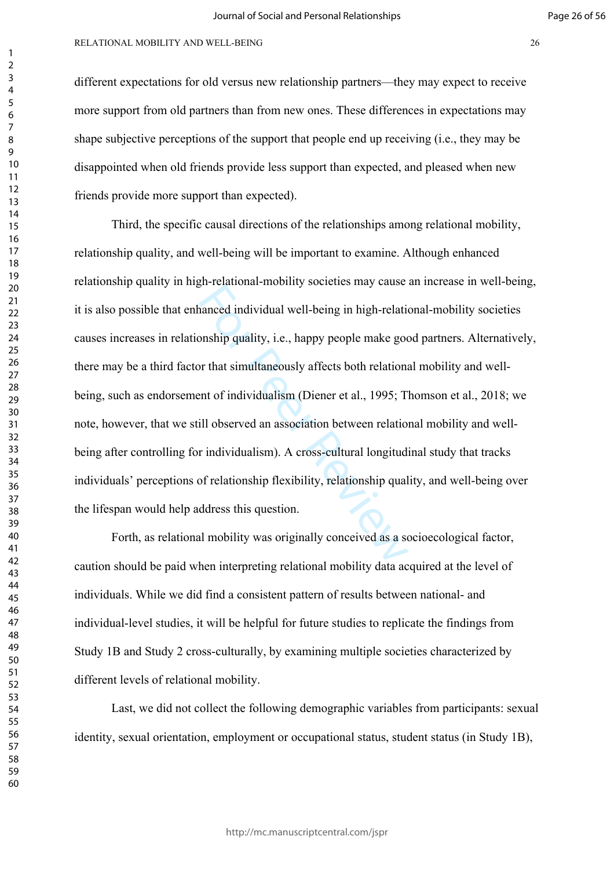different expectations for old versus new relationship partners––they may expect to receive more support from old partners than from new ones. These differences in expectations may shape subjective perceptions of the support that people end up receiving (i.e., they may be disappointed when old friends provide less support than expected, and pleased when new friends provide more support than expected).

In ventrious mesting sected they cause<br>anneed individual well-being in high-relationship quality, i.e., happy people make good<br>or that simultaneously affects both relations<br>and of individualism (Diener et al., 1995; T<br>ill Third, the specific causal directions of the relationships among relational mobility, relationship quality, and well-being will be important to examine. Although enhanced relationship quality in high-relational-mobility societies may cause an increase in well-being, it is also possible that enhanced individual well-being in high-relational-mobility societies causes increases in relationship quality, i.e., happy people make good partners. Alternatively, there may be a third factor that simultaneously affects both relational mobility and wellbeing, such as endorsement of individualism (Diener et al., 1995; Thomson et al., 2018; we note, however, that we still observed an association between relational mobility and wellbeing after controlling for individualism). A cross-cultural longitudinal study that tracks individuals' perceptions of relationship flexibility, relationship quality, and well-being over the lifespan would help address this question.

Forth, as relational mobility was originally conceived as a socioecological factor, caution should be paid when interpreting relational mobility data acquired at the level of individuals. While we did find a consistent pattern of results between national- and individual-level studies, it will be helpful for future studies to replicate the findings from Study 1B and Study 2 cross-culturally, by examining multiple societies characterized by different levels of relational mobility.

Last, we did not collect the following demographic variables from participants: sexual identity, sexual orientation, employment or occupational status, student status (in Study 1B),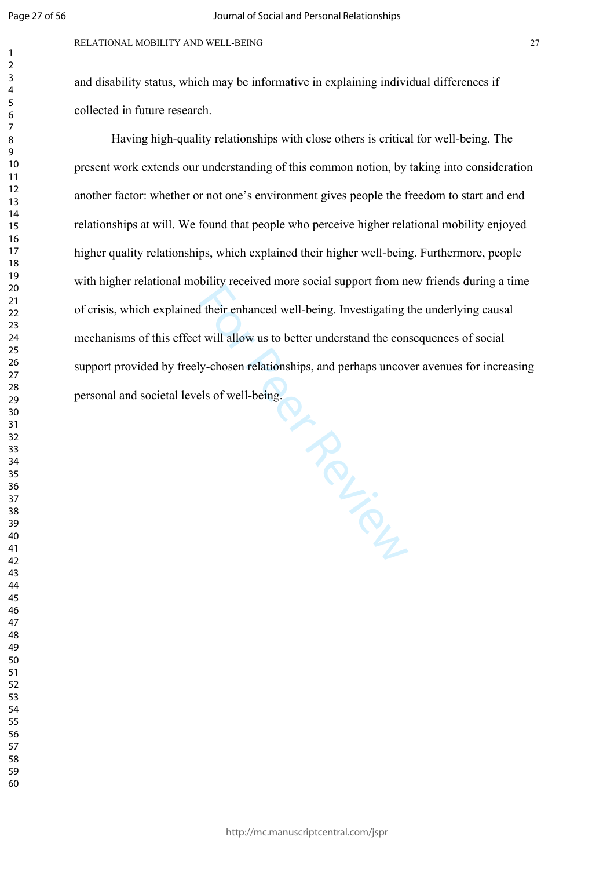and disability status, which may be informative in explaining individual differences if collected in future research.

Being Ry. Having high-quality relationships with close others is critical for well-being. The present work extends our understanding of this common notion, by taking into consideration another factor: whether or not one's environment gives people the freedom to start and end relationships at will. We found that people who perceive higher relational mobility enjoyed higher quality relationships, which explained their higher well-being. Furthermore, people with higher relational mobility received more social support from new friends during a time of crisis, which explained their enhanced well-being. Investigating the underlying causal mechanisms of this effect will allow us to better understand the consequences of social support provided by freely-chosen relationships, and perhaps uncover avenues for increasing personal and societal levels of well-being.

http://mc.manuscriptcentral.com/jspr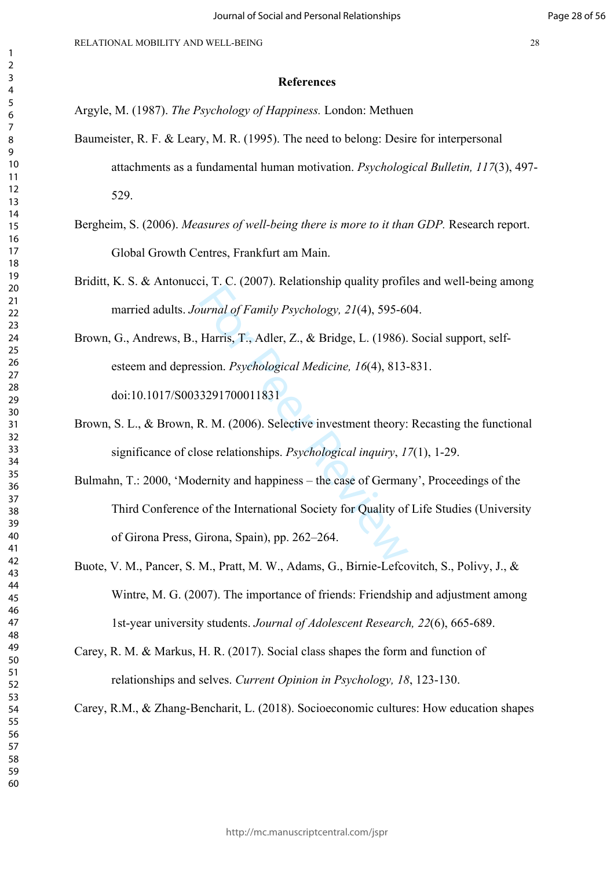- Argyle, M. (1987). *The Psychology of Happiness.* London: Methuen
- Baumeister, R. F. & Leary, M. R. (1995). The need to belong: Desire for interpersonal attachments as a fundamental human motivation. *Psychological Bulletin, 117*(3), 497- 529.
- Bergheim, S. (2006). *Measures of well-being there is more to it than GDP.* Research report. Global Growth Centres, Frankfurt am Main.
- Briditt, K. S. & Antonucci, T. C. (2007). Relationship quality profiles and well-being among married adults. *Journal of Family Psychology, 21*(4), 595-604.
- Brown, G., Andrews, B., Harris, T., Adler, Z., & Bridge, L. (1986). Social support, selfesteem and depression. *Psychological Medicine, 16*(4), 813-831. doi:10.1017/S0033291700011831
- Brown, S. L., & Brown, R. M. (2006). Selective investment theory: Recasting the functional significance of close relationships. *Psychological inquiry*, *17*(1), 1-29.
- *nurnal of Family Psychology, 21(4), 595-66*<br>
Harris, T., Adler, Z., & Bridge, L. (1986).<br>
ssion. *Psychological Medicine, 16(4), 813-*<br>
3291700011831<br>
R. M. (2006). Selective investment theory:<br>
ose relationships. *Psych* Bulmahn, T.: 2000, 'Modernity and happiness – the case of Germany', Proceedings of the Third Conference of the International Society for Quality of Life Studies (University of Girona Press, Girona, Spain), pp. 262–264.
- Buote, V. M., Pancer, S. M., Pratt, M. W., Adams, G., Birnie-Lefcovitch, S., Polivy, J., & Wintre, M. G. (2007). The importance of friends: Friendship and adjustment among 1st-year university students. *Journal of Adolescent Research, 22*(6), 665-689.
- Carey, R. M. & Markus, H. R. (2017). Social class shapes the form and function of relationships and selves. *Current Opinion in Psychology, 18*, 123-130.
- Carey, R.M., & Zhang-Bencharit, L. (2018). Socioeconomic cultures: How education shapes

Page 28 of 56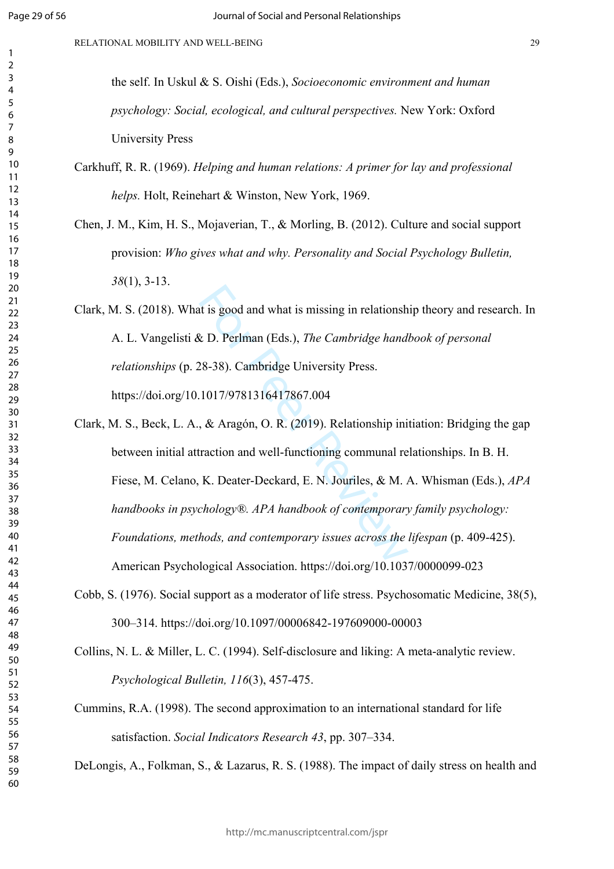$\mathbf{1}$  $\overline{2}$  $\overline{3}$  $\overline{4}$  $\overline{7}$ 

| the self. In Uskul & S. Oishi (Eds.), Socioeconomic environment and human          |
|------------------------------------------------------------------------------------|
| <i>psychology: Social, ecological, and cultural perspectives. New York: Oxford</i> |
| <b>University Press</b>                                                            |

- Carkhuff, R. R. (1969). *Helping and human relations: A primer for lay and professional helps.* Holt, Reinehart & Winston, New York, 1969.
- Chen, J. M., Kim, H. S., Mojaverian, T., & Morling, B. (2012). Culture and social support provision: *Who gives what and why. Personality and Social Psychology Bulletin,*  (1), 3-13.
- Clark, M. S. (2018). What is good and what is missing in relationship theory and research. In A. L. Vangelisti & D. Perlman (Eds.), *The Cambridge handbook of personal relationships* (p. 28-38). Cambridge University Press. https://doi.org/10.1017/9781316417867.004
- t is good and what is missing in relationsh<br>  $\&$  D. Perlman (Eds.), *The Cambridge hand*<br>  $28-38$ ). Cambridge University Press.<br>  $1017/9781316417867.004$ <br>  $\&$  Aragón, O. R. (2019). Relationship ini<br>
rraction and well-fu Clark, M. S., Beck, L. A., & Aragón, O. R. (2019). Relationship initiation: Bridging the gap between initial attraction and well-functioning communal relationships. In B. H. Fiese, M. Celano, K. Deater-Deckard, E. N. Jouriles, & M. A. Whisman (Eds.), *APA handbooks in psychology®. APA handbook of contemporary family psychology: Foundations, methods, and contemporary issues across the lifespan* (p. 409-425). American Psychological Association. https://doi.org/10.1037/0000099-023
- Cobb, S. (1976). Social support as a moderator of life stress. Psychosomatic Medicine, 38(5), 300–314. https://doi.org/10.1097/00006842-197609000-00003

Collins, N. L. & Miller, L. C. (1994). Self-disclosure and liking: A meta-analytic review. *Psychological Bulletin, 116*(3), 457-475.

Cummins, R.A. (1998). The second approximation to an international standard for life satisfaction. *Social Indicators Research 43*, pp. 307–334.

DeLongis, A., Folkman, S., & Lazarus, R. S. (1988). The impact of daily stress on health and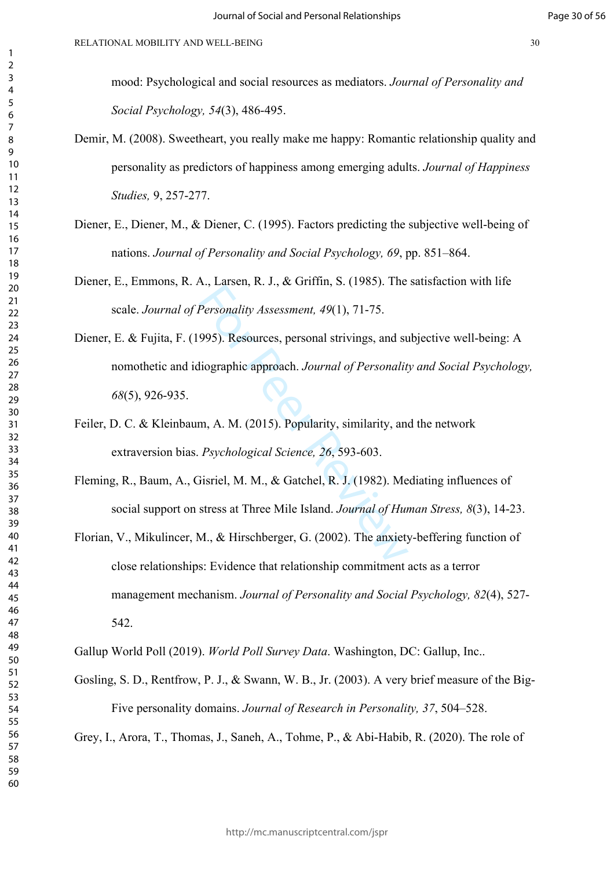mood: Psychological and social resources as mediators. *Journal of Personality and Social Psychology, 54*(3), 486-495.

- Demir, M. (2008). Sweetheart, you really make me happy: Romantic relationship quality and personality as predictors of happiness among emerging adults. *Journal of Happiness Studies,* 9, 257-277.
- Diener, E., Diener, M., & Diener, C. (1995). Factors predicting the subjective well-being of nations. *Journal of Personality and Social Psychology, 69*, pp. 851–864.

Diener, E., Emmons, R. A., Larsen, R. J., & Griffin, S. (1985). The satisfaction with life scale. *Journal of Personality Assessment, 49*(1), 71-75.

- Example 1, 2008). The<br>Personality Assessment, 49(1), 71-75.<br>995). Resources, personal strivings, and su<br>liographic approach. Journal of Personalit<br>m, A. M. (2015). Popularity, similarity, and<br>Psychological Science, 26, 593 Diener, E. & Fujita, F. (1995). Resources, personal strivings, and subjective well-being: A nomothetic and idiographic approach. *Journal of Personality and Social Psychology,*  (5), 926-935.
- Feiler, D. C. & Kleinbaum, A. M. (2015). Popularity, similarity, and the network extraversion bias. *Psychological Science, 26*, 593-603.
- Fleming, R., Baum, A., Gisriel, M. M., & Gatchel, R. J. (1982). Mediating influences of social support on stress at Three Mile Island. *Journal of Human Stress, 8*(3), 14-23.
- Florian, V., Mikulincer, M., & Hirschberger, G. (2002). The anxiety-beffering function of close relationships: Evidence that relationship commitment acts as a terror management mechanism. *Journal of Personality and Social Psychology, 82*(4), 527- 542.

Gallup World Poll (2019). *World Poll Survey Data*. Washington, DC: Gallup, Inc..

Gosling, S. D., Rentfrow, P. J., & Swann, W. B., Jr. (2003). A very brief measure of the Big-Five personality domains. *Journal of Research in Personality, 37*, 504–528.

Grey, I., Arora, T., Thomas, J., Saneh, A., Tohme, P., & Abi-Habib, R. (2020). The role of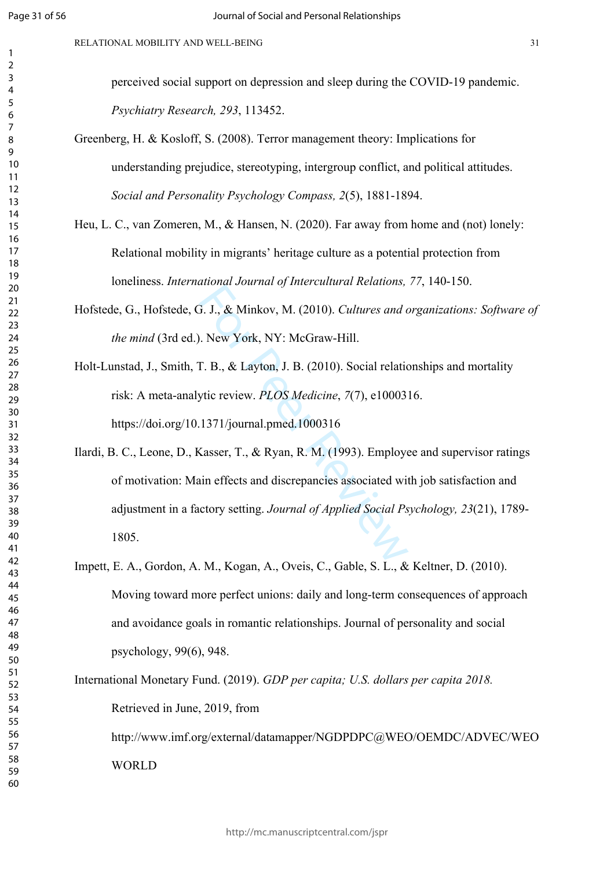$\mathbf{1}$  $\overline{2}$  $\overline{3}$  $\overline{4}$  $\overline{7}$ 

perceived social support on depression and sleep during the COVID-19 pandemic. *Psychiatry Research, 293*, 113452.

- Greenberg, H. & Kosloff, S. (2008). Terror management theory: Implications for understanding prejudice, stereotyping, intergroup conflict, and political attitudes. *Social and Personality Psychology Compass, 2*(5), 1881-1894.
- Heu, L. C., van Zomeren, M., & Hansen, N. (2020). Far away from home and (not) lonely: Relational mobility in migrants' heritage culture as a potential protection from loneliness. *International Journal of Intercultural Relations, 77*, 140-150.
- Hofstede, G., Hofstede, G. J., & Minkov, M. (2010). *Cultures and organizations: Software of the mind* (3rd ed.). New York, NY: McGraw-Hill.
- Holt-Lunstad, J., Smith, T. B., & Layton, J. B. (2010). Social relationships and mortality risk: A meta-analytic review. *PLOS Medicine*, *7*(7), e1000316. https://doi.org/10.1371/journal.pmed.1000316
- S. J., & Minkov, M. (2010). *Cultures and c*<br>
D. New York, NY: McGraw-Hill.<br>
F. B., & Layton, J. B. (2010). Social relations.<br>
ytic review. *PLOS Medicine*, 7(7), e10003<br>
1371/journal.pmed.1000316<br>
Xasser, T., & Ryan, R. M Ilardi, B. C., Leone, D., Kasser, T., & Ryan, R. M. (1993). Employee and supervisor ratings of motivation: Main effects and discrepancies associated with job satisfaction and adjustment in a factory setting. *Journal of Applied Social Psychology, 23*(21), 1789- 1805.
- Impett, E. A., Gordon, A. M., Kogan, A., Oveis, C., Gable, S. L., & Keltner, D. (2010). Moving toward more perfect unions: daily and long-term consequences of approach and avoidance goals in romantic relationships. Journal of personality and social psychology, 99(6), 948.

International Monetary Fund. (2019). *GDP per capita; U.S. dollars per capita 2018.* Retrieved in June, 2019, from http://www.imf.org/external/datamapper/NGDPDPC@WEO/OEMDC/ADVEC/WEO **WORLD**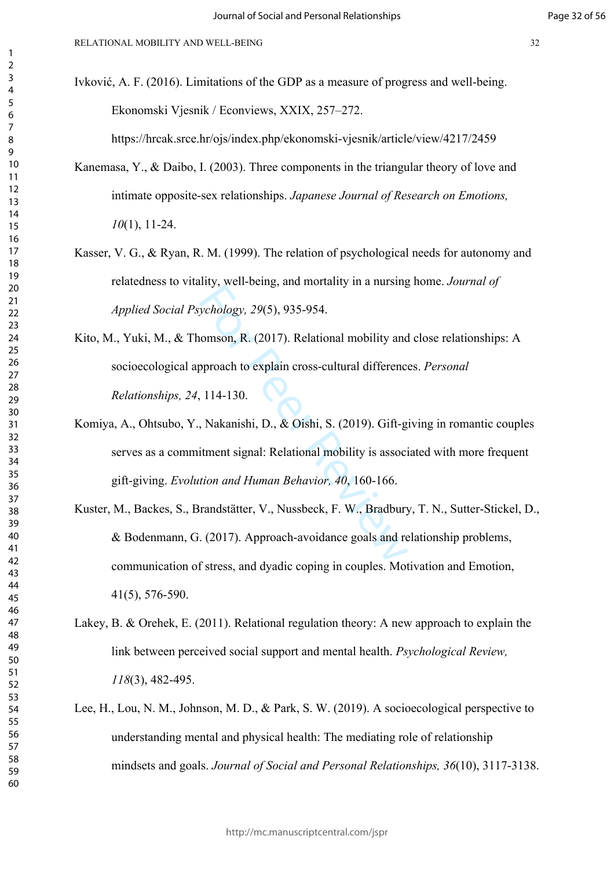Ivković, A. F. (2016). Limitations of the GDP as a measure of progress and well-being. Ekonomski Vjesnik / Econviews, XXIX, 257–272.

https://hrcak.srce.hr/ojs/index.php/ekonomski-vjesnik/article/view/4217/2459

- Kanemasa, Y., & Daibo, I. (2003). Three components in the triangular theory of love and intimate opposite-sex relationships. *Japanese Journal of Research on Emotions,* (1), 11-24.
- Kasser, V. G., & Ryan, R. M. (1999). The relation of psychological needs for autonomy and relatedness to vitality, well-being, and mortality in a nursing home. *Journal of Applied Social Psychology, 29*(5), 935-954.
- Kito, M., Yuki, M., & Thomson, R. (2017). Relational mobility and close relationships: A socioecological approach to explain cross-cultural differences. *Personal Relationships, 24*, 114-130.
- starting, and mortainty in a narrang-<br>ychology, 29(5), 935-954.<br>nomson, R. (2017). Relational mobility and<br>pproach to explain cross-cultural difference,<br>114-130.<br>Nakanishi, D., & Oishi, S. (2019). Gift-g<br>itment signal: Rel Komiya, A., Ohtsubo, Y., Nakanishi, D., & Oishi, S. (2019). Gift-giving in romantic couples serves as a commitment signal: Relational mobility is associated with more frequent gift-giving. *Evolution and Human Behavior, 40*, 160-166.
- Kuster, M., Backes, S., Brandstätter, V., Nussbeck, F. W., Bradbury, T. N., Sutter-Stickel, D., & Bodenmann, G. (2017). Approach-avoidance goals and relationship problems, communication of stress, and dyadic coping in couples. Motivation and Emotion, 41(5), 576-590.
- Lakey, B. & Orehek, E. (2011). Relational regulation theory: A new approach to explain the link between perceived social support and mental health. *Psychological Review,*  (3), 482-495.
- Lee, H., Lou, N. M., Johnson, M. D., & Park, S. W. (2019). A socioecological perspective to understanding mental and physical health: The mediating role of relationship mindsets and goals. *Journal of Social and Personal Relationships, 36*(10), 3117-3138.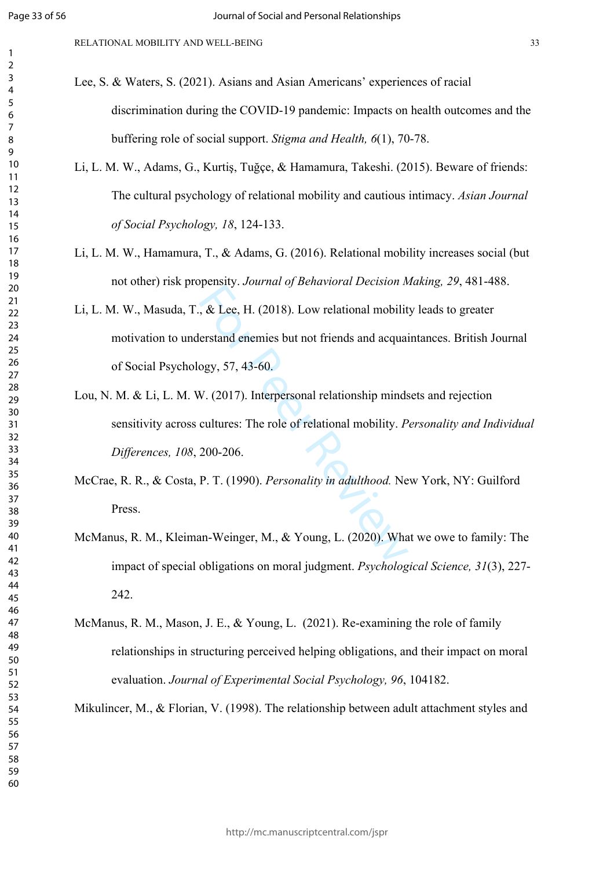$\mathbf{1}$  $\overline{2}$  $\overline{3}$  $\overline{4}$  $\overline{7}$ 

RELATIONAL MOBILITY AND WELL-BEING 33

- Lee, S. & Waters, S. (2021). Asians and Asian Americans' experiences of racial discrimination during the COVID-19 pandemic: Impacts on health outcomes and the buffering role of social support. *Stigma and Health, 6*(1), 70-78.
- Li, L. M. W., Adams, G., Kurtiş, Tuğçe, & Hamamura, Takeshi. (2015). Beware of friends: The cultural psychology of relational mobility and cautious intimacy. *Asian Journal of Social Psychology, 18*, 124-133.
- Li, L. M. W., Hamamura, T., & Adams, G. (2016). Relational mobility increases social (but not other) risk propensity. *Journal of Behavioral Decision Making, 29*, 481-488.
- $\kappa$  & Lee, H. (2018). Low relational mobilit<br>erstand enemies but not friends and acquai<br>ogy, 57, 43-60.<br>V. (2017). Interpersonal relationship minds<br>cultures: The role of relational mobility. P<br>200-206.<br>P. T. (1990). Per Li, L. M. W., Masuda, T., & Lee, H. (2018). Low relational mobility leads to greater motivation to understand enemies but not friends and acquaintances. British Journal of Social Psychology, 57, 43-60.
- Lou, N. M. & Li, L. M. W. (2017). Interpersonal relationship mindsets and rejection sensitivity across cultures: The role of relational mobility. *Personality and Individual Differences, 108*, 200-206.
- McCrae, R. R., & Costa, P. T. (1990). *Personality in adulthood.* New York, NY: Guilford Press.
- McManus, R. M., Kleiman-Weinger, M., & Young, L. (2020). What we owe to family: The impact of special obligations on moral judgment. *Psychological Science, 31*(3), 227- 242.
- McManus, R. M., Mason, J. E., & Young, L. (2021). Re-examining the role of family relationships in structuring perceived helping obligations, and their impact on moral evaluation. *Journal of Experimental Social Psychology, 96*, 104182.

Mikulincer, M., & Florian, V. (1998). The relationship between adult attachment styles and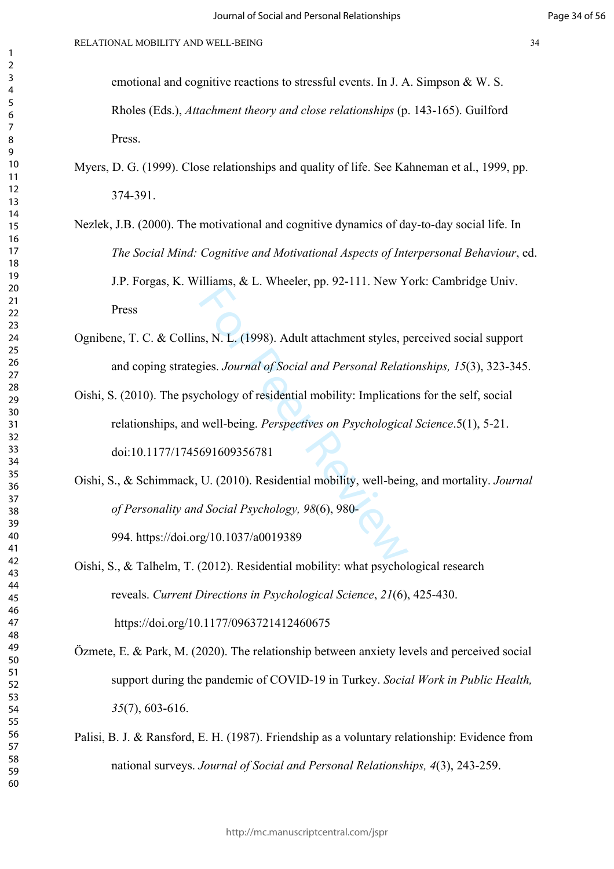emotional and cognitive reactions to stressful events. In J. A. Simpson & W. S. Rholes (Eds.), *Attachment theory and close relationships* (p. 143-165). Guilford Press.

# Myers, D. G. (1999). Close relationships and quality of life. See Kahneman et al., 1999, pp. 374-391.

- Nezlek, J.B. (2000). The motivational and cognitive dynamics of day-to-day social life. In *The Social Mind: Cognitive and Motivational Aspects of Interpersonal Behaviour*, ed. J.P. Forgas, K. Williams, & L. Wheeler, pp. 92-111. New York: Cambridge Univ. Press
- Ognibene, T. C. & Collins, N. L. (1998). Adult attachment styles, perceived social support and coping strategies. *Journal of Social and Personal Relationships, 15*(3), 323-345.
- mana, a E. Whenci, pp. 52 111.1000 1<br>
Is, N. L. (1998). Adult attachment styles, p<br>
gies. Journal of Social and Personal Relation<br>
chology of residential mobility: Implication<br>
well-being. Perspectives on Psychologica<br>
691 Oishi, S. (2010). The psychology of residential mobility: Implications for the self, social relationships, and well-being. *Perspectives on Psychological Science*.5(1), 5-21. doi:10.1177/1745691609356781
- Oishi, S., & Schimmack, U. (2010). Residential mobility, well-being, and mortality. *Journal of Personality and Social Psychology, 98*(6), 980- 994. https://doi.org/10.1037/a0019389

Oishi, S., & Talhelm, T. (2012). Residential mobility: what psychological research reveals. *Current Directions in Psychological Science*, *21*(6), 425-430. https://doi.org/10.1177/0963721412460675

- Özmete, E. & Park, M. (2020). The relationship between anxiety levels and perceived social support during the pandemic of COVID-19 in Turkey. *Social Work in Public Health,*  (7), 603-616.
- Palisi, B. J. & Ransford, E. H. (1987). Friendship as a voluntary relationship: Evidence from national surveys. *Journal of Social and Personal Relationships, 4*(3), 243-259.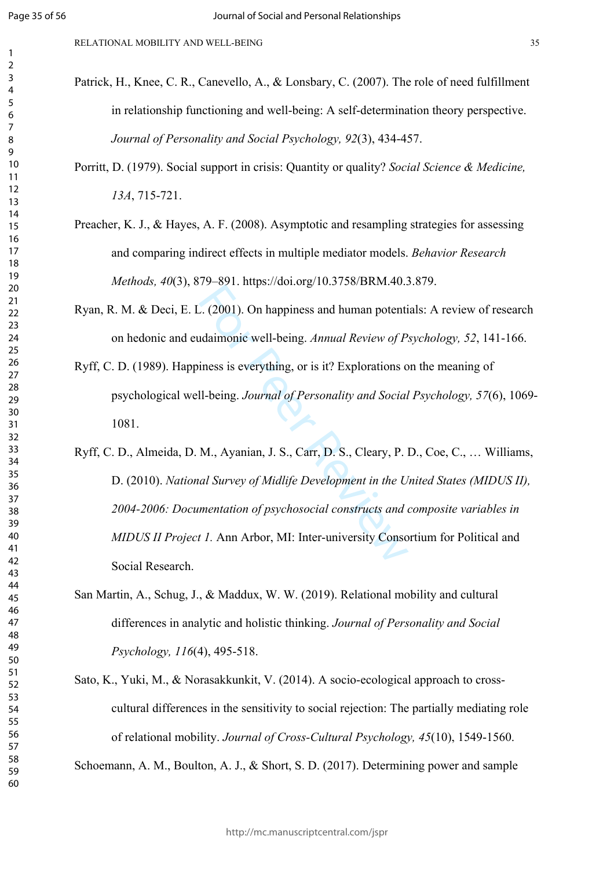RELATIONAL MOBILITY AND WELL-BEING 35

- Patrick, H., Knee, C. R., Canevello, A., & Lonsbary, C. (2007). The role of need fulfillment in relationship functioning and well-being: A self-determination theory perspective. *Journal of Personality and Social Psychology, 92*(3), 434-457.
- Porritt, D. (1979). Social support in crisis: Quantity or quality? *Social Science & Medicine, 13A*, 715-721.
- Preacher, K. J., & Hayes, A. F. (2008). Asymptotic and resampling strategies for assessing and comparing indirect effects in multiple mediator models. *Behavior Research Methods, 40*(3), 879–891. https://doi.org/10.3758/BRM.40.3.879.
- Ryan, R. M. & Deci, E. L. (2001). On happiness and human potentials: A review of research on hedonic and eudaimonic well-being. *Annual Review of Psychology, 52*, 141-166.
- Ryff, C. D. (1989). Happiness is everything, or is it? Explorations on the meaning of psychological well-being. *Journal of Personality and Social Psychology, 57*(6), 1069- 1081.
- For extra the<br>
L. (2001). On happiness and human potential daimonic well-being. Annual Review of P.<br>
iness is everything, or is it? Explorations of<br>
II-being. Journal of Personality and Social<br>
M., Ayanian, J. S., Carr, D. Ryff, C. D., Almeida, D. M., Ayanian, J. S., Carr, D. S., Cleary, P. D., Coe, C., … Williams, D. (2010). *National Survey of Midlife Development in the United States (MIDUS II), 2004-2006: Documentation of psychosocial constructs and composite variables in MIDUS II Project 1.* Ann Arbor, MI: Inter-university Consortium for Political and Social Research.
- San Martin, A., Schug, J., & Maddux, W. W. (2019). Relational mobility and cultural differences in analytic and holistic thinking. *Journal of Personality and Social Psychology, 116*(4), 495-518.
- Sato, K., Yuki, M., & Norasakkunkit, V. (2014). A socio-ecological approach to crosscultural differences in the sensitivity to social rejection: The partially mediating role of relational mobility. *Journal of Cross-Cultural Psychology, 45*(10), 1549-1560.

Schoemann, A. M., Boulton, A. J., & Short, S. D. (2017). Determining power and sample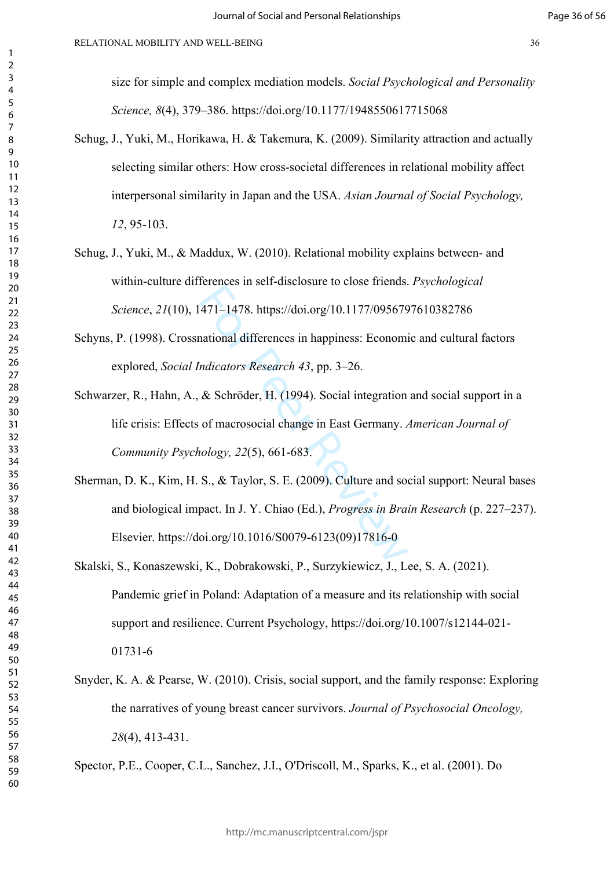size for simple and complex mediation models. *Social Psychological and Personality Science, 8*(4), 379–386. https://doi.org/10.1177/1948550617715068

- Schug, J., Yuki, M., Horikawa, H. & Takemura, K. (2009). Similarity attraction and actually selecting similar others: How cross-societal differences in relational mobility affect interpersonal similarity in Japan and the USA. *Asian Journal of Social Psychology,*  , 95-103.
- Schug, J., Yuki, M., & Maddux, W. (2010). Relational mobility explains between- and within-culture differences in self-disclosure to close friends. *Psychological Science*, *21*(10), 1471–1478. https://doi.org/10.1177/0956797610382786
- Schyns, P. (1998). Crossnational differences in happiness: Economic and cultural factors explored, *Social Indicators Research 43*, pp. 3–26.
- Schwarzer, R., Hahn, A., & Schröder, H. (1994). Social integration and social support in a life crisis: Effects of macrosocial change in East Germany. *American Journal of Community Psychology, 22*(5), 661-683.
- 171–1478. https://doi.org/10.1177/095679<br>
171–1478. https://doi.org/10.1177/095679<br>
171 mational differences in happiness: Economi<br>
171 mate Review A3, pp. 3–26.<br>
28 Schröder, H. (1994). Social integration<br>
171 mate Schröd Sherman, D. K., Kim, H. S., & Taylor, S. E. (2009). Culture and social support: Neural bases and biological impact. In J. Y. Chiao (Ed.), *Progress in Brain Research* (p. 227–237). Elsevier. https://doi.org/10.1016/S0079-6123(09)17816-0
- Skalski, S., Konaszewski, K., Dobrakowski, P., Surzykiewicz, J., Lee, S. A. (2021). Pandemic grief in Poland: Adaptation of a measure and its relationship with social support and resilience. Current Psychology, https://doi.org/10.1007/s12144-021- 01731-6
- Snyder, K. A. & Pearse, W. (2010). Crisis, social support, and the family response: Exploring the narratives of young breast cancer survivors. *Journal of Psychosocial Oncology,*  (4), 413-431.

Spector, P.E., Cooper, C.L., Sanchez, J.I., O'Driscoll, M., Sparks, K., et al. (2001). Do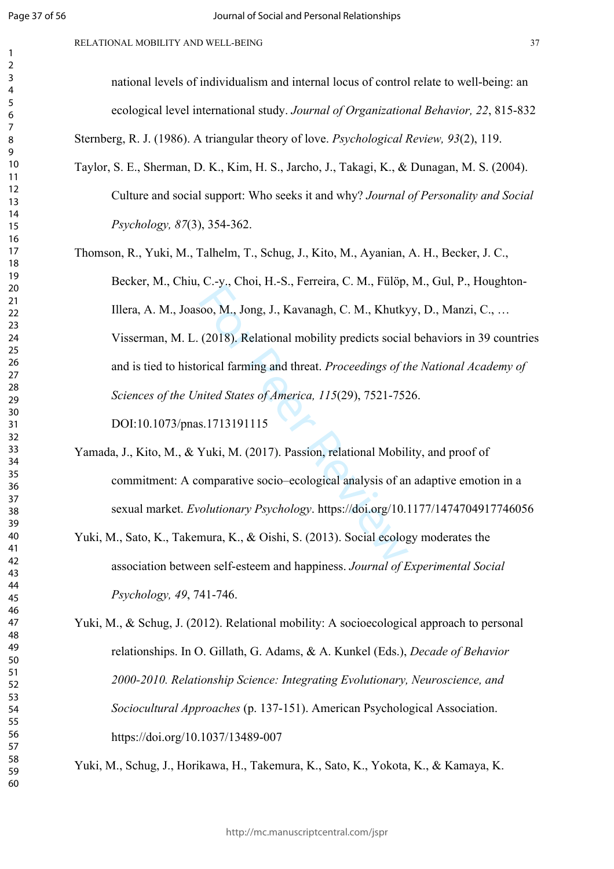#### RELATIONAL MOBILITY AND WELL-BEING 37

national levels of individualism and internal locus of control relate to well-being: an ecological level international study. *Journal of Organizational Behavior, 22*, 815-832

Sternberg, R. J. (1986). A triangular theory of love. *Psychological Review, 93*(2), 119.

- Taylor, S. E., Sherman, D. K., Kim, H. S., Jarcho, J., Takagi, K., & Dunagan, M. S. (2004). Culture and social support: Who seeks it and why? *Journal of Personality and Social Psychology, 87*(3), 354-362.
- For Pr. S., L. S., Perram, E. M., Party, P. M., 2006, M., Jong, J., Kavanagh, C. M., Khutky<br>(2018). Relational mobility predicts social<br>prical farming and threat. Proceedings of th<br>nited States of America, 115(29), 7521-75 Thomson, R., Yuki, M., Talhelm, T., Schug, J., Kito, M., Ayanian, A. H., Becker, J. C., Becker, M., Chiu, C.-y., Choi, H.-S., Ferreira, C. M., Fülöp, M., Gul, P., Houghton-Illera, A. M., Joasoo, M., Jong, J., Kavanagh, C. M., Khutkyy, D., Manzi, C., … Visserman, M. L. (2018). Relational mobility predicts social behaviors in 39 countries and is tied to historical farming and threat. *Proceedings of the National Academy of Sciences of the United States of America, 115*(29), 7521-7526. DOI:10.1073/pnas.1713191115
- Yamada, J., Kito, M., & Yuki, M. (2017). Passion, relational Mobility, and proof of commitment: A comparative socio–ecological analysis of an adaptive emotion in a sexual market. *Evolutionary Psychology*. https://doi.org/10.1177/1474704917746056
- Yuki, M., Sato, K., Takemura, K., & Oishi, S. (2013). Social ecology moderates the association between self-esteem and happiness. *Journal of Experimental Social Psychology, 49*, 741-746.
- Yuki, M., & Schug, J. (2012). Relational mobility: A socioecological approach to personal relationships. In O. Gillath, G. Adams, & A. Kunkel (Eds.), *Decade of Behavior 2000-2010. Relationship Science: Integrating Evolutionary, Neuroscience, and Sociocultural Approaches* (p. 137-151). American Psychological Association. https://doi.org/10.1037/13489-007

Yuki, M., Schug, J., Horikawa, H., Takemura, K., Sato, K., Yokota, K., & Kamaya, K.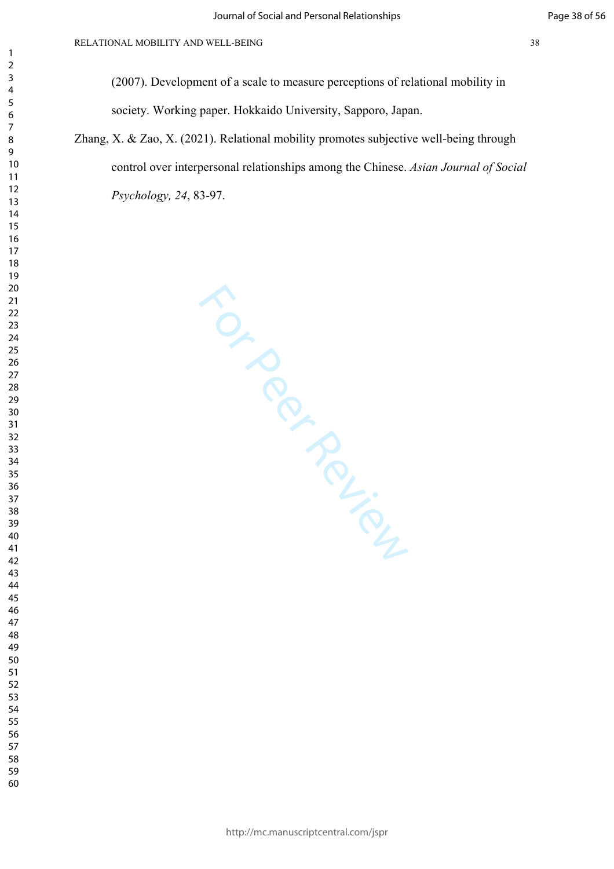(2007). Development of a scale to measure perceptions of relational mobility in society. Working paper. Hokkaido University, Sapporo, Japan.

Zhang, X. & Zao, X. (2021). Relational mobility promotes subjective well-being through control over interpersonal relationships among the Chinese. *Asian Journal of Social Psychology, 24*, 83-97.

For Per Review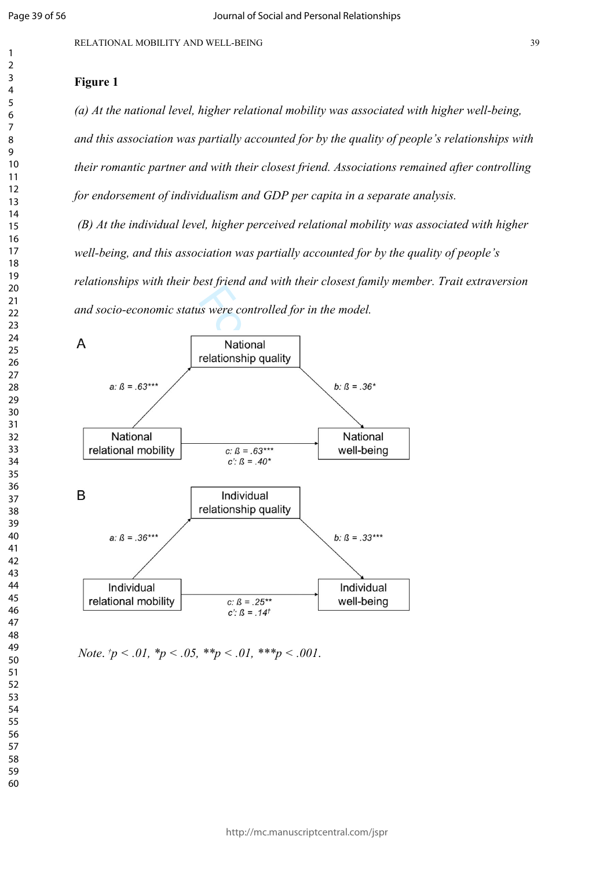$\mathbf{1}$  $\overline{2}$  $\overline{4}$ 

# **Figure 1**

*(a) At the national level, higher relational mobility was associated with higher well-being, and this association was partially accounted for by the quality of people's relationships with their romantic partner and with their closest friend. Associations remained after controlling for endorsement of individualism and GDP per capita in a separate analysis.*

 *(B) At the individual level, higher perceived relational mobility was associated with higher well-being, and this association was partially accounted for by the quality of people's relationships with their best friend and with their closest family member. Trait extraversion and socio-economic status were controlled for in the model.*



*Note*.  $\frac{1}{p}$  < .01,  $\frac{1}{p}$  < .05,  $\frac{1}{p}$  < .01,  $\frac{1}{p}$  ×  $\frac{1}{p}$  < .001.